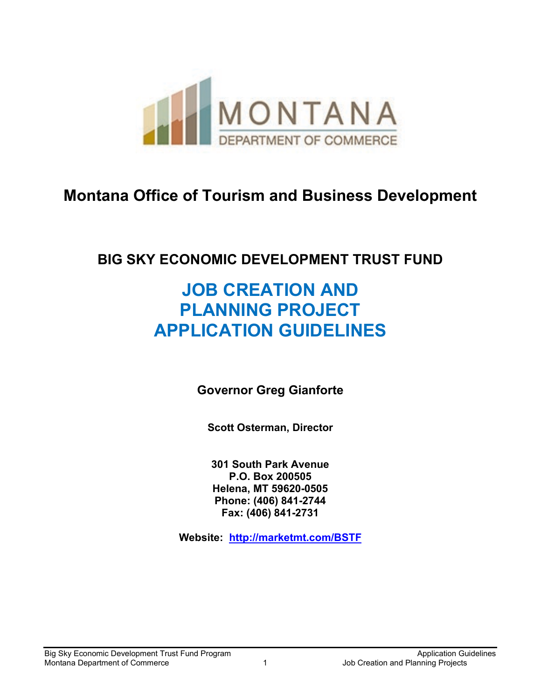

# **Montana Office of Tourism and Business Development**

# **BIG SKY ECONOMIC DEVELOPMENT TRUST FUND**

# **JOB CREATION AND PLANNING PROJECT APPLICATION GUIDELINES**

**Governor Greg Gianforte**

**Scott Osterman, Director**

**301 South Park Avenue P.O. Box 200505 Helena, MT 59620-0505 Phone: (406) 841-2744 Fax: (406) 841-2731**

**Website: http://marketmt.com/BSTF**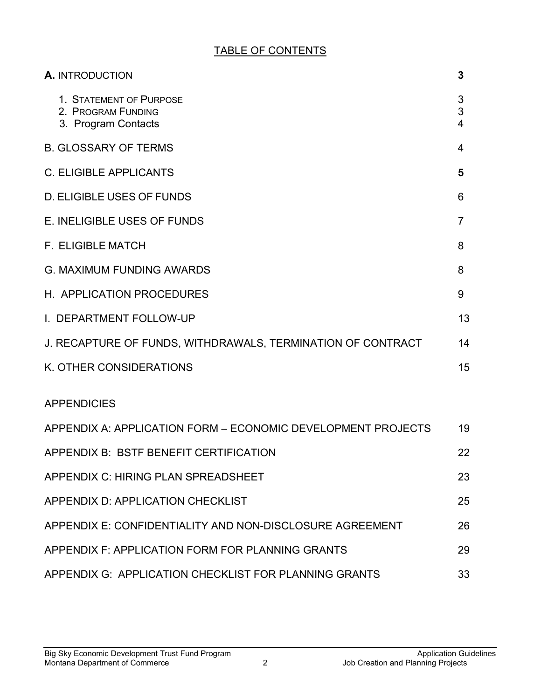## TABLE OF CONTENTS

| A. INTRODUCTION                                                      | 3                                 |
|----------------------------------------------------------------------|-----------------------------------|
| 1. STATEMENT OF PURPOSE<br>2. PROGRAM FUNDING<br>3. Program Contacts | 3<br>3<br>$\overline{\mathbf{4}}$ |
| <b>B. GLOSSARY OF TERMS</b>                                          | 4                                 |
| <b>C. ELIGIBLE APPLICANTS</b>                                        | 5                                 |
| <b>D. ELIGIBLE USES OF FUNDS</b>                                     | 6                                 |
| E. INELIGIBLE USES OF FUNDS                                          | 7                                 |
| <b>F. ELIGIBLE MATCH</b>                                             | 8                                 |
| <b>G. MAXIMUM FUNDING AWARDS</b>                                     | 8                                 |
| H. APPLICATION PROCEDURES                                            | 9                                 |
| I. DEPARTMENT FOLLOW-UP                                              | 13                                |
| J. RECAPTURE OF FUNDS, WITHDRAWALS, TERMINATION OF CONTRACT          | 14                                |
| K. OTHER CONSIDERATIONS                                              | 15                                |
| <b>APPENDICIES</b>                                                   |                                   |
| APPENDIX A: APPLICATION FORM - ECONOMIC DEVELOPMENT PROJECTS         | 19                                |
| <b>APPENDIX B: BSTF BENEFIT CERTIFICATION</b>                        | 22                                |
| APPENDIX C: HIRING PLAN SPREADSHEET                                  | 23                                |
| APPENDIX D: APPLICATION CHECKLIST                                    | 25                                |
| APPENDIX E: CONFIDENTIALITY AND NON-DISCLOSURE AGREEMENT             | 26                                |
| APPENDIX F: APPLICATION FORM FOR PLANNING GRANTS                     | 29                                |
| APPENDIX G: APPLICATION CHECKLIST FOR PLANNING GRANTS                | 33                                |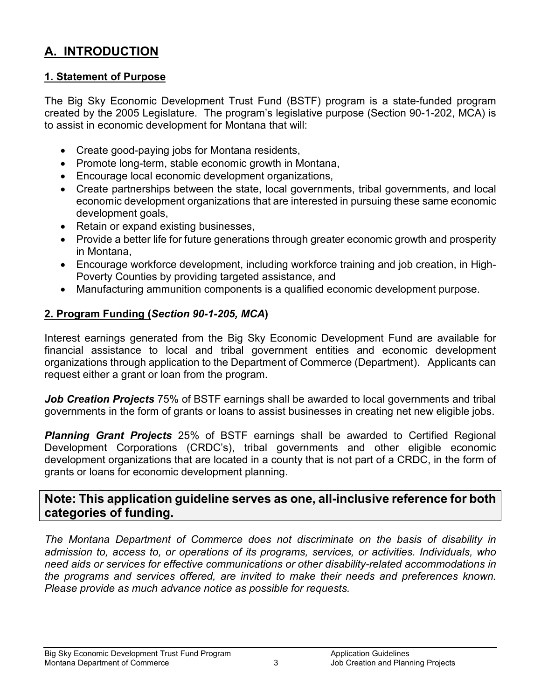# <span id="page-2-0"></span>**A. INTRODUCTION**

#### <span id="page-2-1"></span>**1. Statement of Purpose**

The Big Sky Economic Development Trust Fund (BSTF) program is a state-funded program created by the 2005 Legislature. The program's legislative purpose (Section 90-1-202, MCA) is to assist in economic development for Montana that will:

- Create good-paying jobs for Montana residents,
- Promote long-term, stable economic growth in Montana,
- Encourage local economic development organizations,
- Create partnerships between the state, local governments, tribal governments, and local economic development organizations that are interested in pursuing these same economic development goals,
- Retain or expand existing businesses,
- Provide a better life for future generations through greater economic growth and prosperity in Montana,
- Encourage workforce development, including workforce training and job creation, in High-Poverty Counties by providing targeted assistance, and
- Manufacturing ammunition components is a qualified economic development purpose.

#### <span id="page-2-2"></span>**2. Program Funding (***Section 90-1-205, MCA***)**

Interest earnings generated from the Big Sky Economic Development Fund are available for financial assistance to local and tribal government entities and economic development organizations through application to the Department of Commerce (Department). Applicants can request either a grant or loan from the program.

*Job Creation Projects* 75% of BSTF earnings shall be awarded to local governments and tribal governments in the form of grants or loans to assist businesses in creating net new eligible jobs.

*Planning Grant Projects* 25% of BSTF earnings shall be awarded to Certified Regional Development Corporations (CRDC's), tribal governments and other eligible economic development organizations that are located in a county that is not part of a CRDC, in the form of grants or loans for economic development planning.

## **Note: This application guideline serves as one, all-inclusive reference for both categories of funding.**

*The Montana Department of Commerce does not discriminate on the basis of disability in admission to, access to, or operations of its programs, services, or activities. Individuals, who need aids or services for effective communications or other disability-related accommodations in the programs and services offered, are invited to make their needs and preferences known. Please provide as much advance notice as possible for requests.*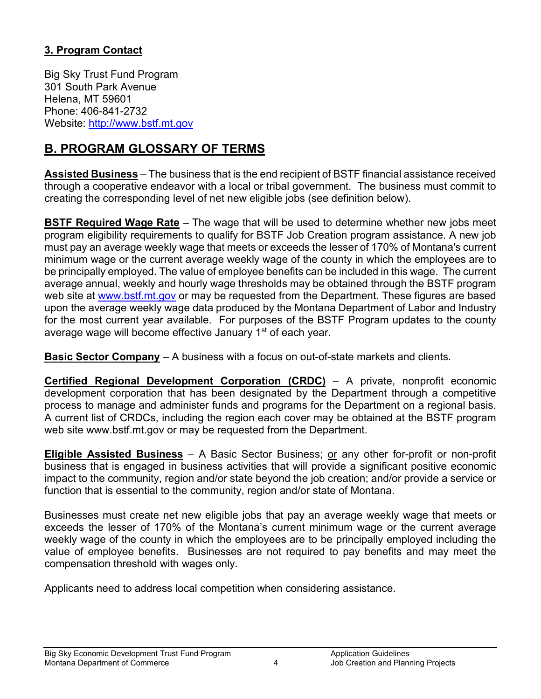## **3. Program Contact**

Big Sky Trust Fund Program 301 South Park Avenue Helena, MT 59601 Phone: 406-841-2732 Website: [http://www.bstf.mt.gov](http://www.bstf.mt.gov/)

# **B. PROGRAM GLOSSARY OF TERMS**

**Assisted Business** – The business that is the end recipient of BSTF financial assistance received through a cooperative endeavor with a local or tribal government. The business must commit to creating the corresponding level of net new eligible jobs (see definition below).

**BSTF Required Wage Rate** – The wage that will be used to determine whether new jobs meet program eligibility requirements to qualify for BSTF Job Creation program assistance. A new job must pay an average weekly wage that meets or exceeds the lesser of 170% of Montana's current minimum wage or the current average weekly wage of the county in which the employees are to be principally employed. The value of employee benefits can be included in this wage. The current average annual, weekly and hourly wage thresholds may be obtained through the BSTF program web site at [www.bstf.mt.gov](http://www.bstf.mt.gov/) or may be requested from the Department. These figures are based upon the average weekly wage data produced by the Montana Department of Labor and Industry for the most current year available. For purposes of the BSTF Program updates to the county average wage will become effective January 1<sup>st</sup> of each year.

**Basic Sector Company** – A business with a focus on out-of-state markets and clients.

**Certified Regional Development Corporation (CRDC)** – A private, nonprofit economic development corporation that has been designated by the Department through a competitive process to manage and administer funds and programs for the Department on a regional basis. A current list of CRDCs, including the region each cover may be obtained at the BSTF program web site www.bstf.mt.gov or may be requested from the Department.

**Eligible Assisted Business** – A Basic Sector Business; or any other for-profit or non-profit business that is engaged in business activities that will provide a significant positive economic impact to the community, region and/or state beyond the job creation; and/or provide a service or function that is essential to the community, region and/or state of Montana.

Businesses must create net new eligible jobs that pay an average weekly wage that meets or exceeds the lesser of 170% of the Montana's current minimum wage or the current average weekly wage of the county in which the employees are to be principally employed including the value of employee benefits. Businesses are not required to pay benefits and may meet the compensation threshold with wages only.

Applicants need to address local competition when considering assistance.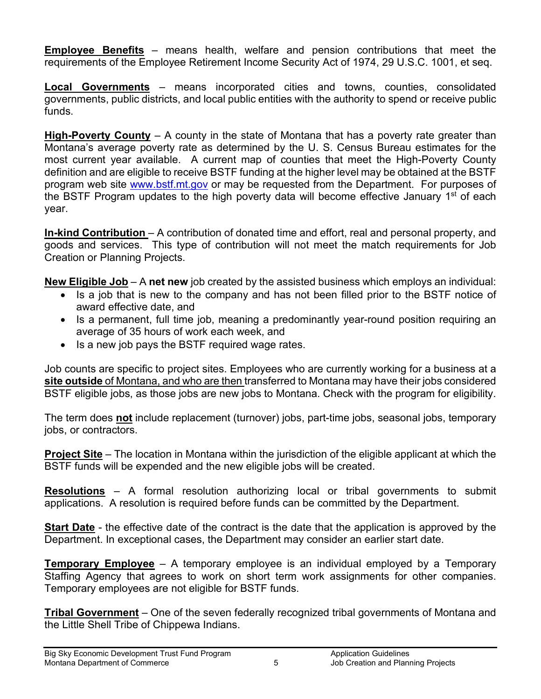**Employee Benefits** – means health, welfare and pension contributions that meet the requirements of the Employee Retirement Income Security Act of 1974, 29 U.S.C. 1001, et seq.

**Local Governments** – means incorporated cities and towns, counties, consolidated governments, public districts, and local public entities with the authority to spend or receive public funds.

**High-Poverty County** – A county in the state of Montana that has a poverty rate greater than Montana's average poverty rate as determined by the U. S. Census Bureau estimates for the most current year available. A current map of counties that meet the High-Poverty County definition and are eligible to receive BSTF funding at the higher level may be obtained at the BSTF program web site [www.bstf.mt.gov](http://www.bstf.mt.gov/) or may be requested from the Department. For purposes of the BSTF Program updates to the high poverty data will become effective January 1<sup>st</sup> of each year.

**In-kind Contribution** – A contribution of donated time and effort, real and personal property, and goods and services. This type of contribution will not meet the match requirements for Job Creation or Planning Projects.

**New Eligible Job** – A **net new** job created by the assisted business which employs an individual:

- Is a job that is new to the company and has not been filled prior to the BSTF notice of award effective date, and
- Is a permanent, full time job, meaning a predominantly year-round position requiring an average of 35 hours of work each week, and
- Is a new job pays the BSTF required wage rates.

Job counts are specific to project sites. Employees who are currently working for a business at a **site outside** of Montana, and who are then transferred to Montana may have their jobs considered BSTF eligible jobs, as those jobs are new jobs to Montana. Check with the program for eligibility.

The term does **not** include replacement (turnover) jobs, part-time jobs, seasonal jobs, temporary jobs, or contractors.

**Project Site** – The location in Montana within the jurisdiction of the eligible applicant at which the BSTF funds will be expended and the new eligible jobs will be created.

**Resolutions** – A formal resolution authorizing local or tribal governments to submit applications. A resolution is required before funds can be committed by the Department.

**Start Date** - the effective date of the contract is the date that the application is approved by the Department. In exceptional cases, the Department may consider an earlier start date.

**Temporary Employee** – A temporary employee is an individual employed by a Temporary Staffing Agency that agrees to work on short term work assignments for other companies. Temporary employees are not eligible for BSTF funds.

**Tribal Government** – One of the seven federally recognized tribal governments of Montana and the Little Shell Tribe of Chippewa Indians.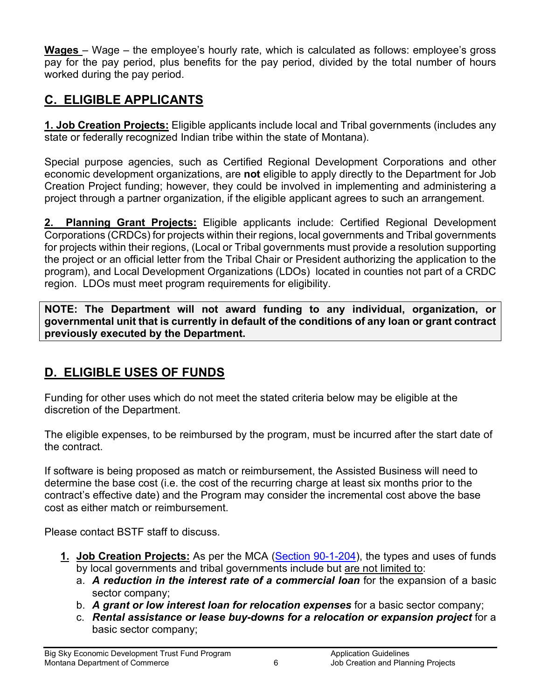**Wages** – Wage – the employee's hourly rate, which is calculated as follows: employee's gross pay for the pay period, plus benefits for the pay period, divided by the total number of hours worked during the pay period.

# **C. ELIGIBLE APPLICANTS**

**1. Job Creation Projects:** Eligible applicants include local and Tribal governments (includes any state or federally recognized Indian tribe within the state of Montana).

Special purpose agencies, such as Certified Regional Development Corporations and other economic development organizations, are **not** eligible to apply directly to the Department for Job Creation Project funding; however, they could be involved in implementing and administering a project through a partner organization, if the eligible applicant agrees to such an arrangement.

**2. Planning Grant Projects:** Eligible applicants include: Certified Regional Development Corporations (CRDCs) for projects within their regions, local governments and Tribal governments for projects within their regions, (Local or Tribal governments must provide a resolution supporting the project or an official letter from the Tribal Chair or President authorizing the application to the program), and Local Development Organizations (LDOs) located in counties not part of a CRDC region. LDOs must meet program requirements for eligibility.

**NOTE: The Department will not award funding to any individual, organization, or governmental unit that is currently in default of the conditions of any loan or grant contract previously executed by the Department.**

# <span id="page-5-0"></span>**D. ELIGIBLE USES OF FUNDS**

Funding for other uses which do not meet the stated criteria below may be eligible at the discretion of the Department.

The eligible expenses, to be reimbursed by the program, must be incurred after the start date of the contract.

If software is being proposed as match or reimbursement, the Assisted Business will need to determine the base cost (i.e. the cost of the recurring charge at least six months prior to the contract's effective date) and the Program may consider the incremental cost above the base cost as either match or reimbursement.

Please contact BSTF staff to discuss.

- **1. Job Creation Projects:** As per the MCA [\(Section 90-1-204\)](http://leg.mt.gov/bills/mca/90/1/90-1-204.htm), the types and uses of funds by local governments and tribal governments include but are not limited to:
	- a. *A reduction in the interest rate of a commercial loan* for the expansion of a basic sector company;
	- b. *A grant or low interest loan for relocation expenses* for a basic sector company;
	- c. *Rental assistance or lease buy-downs for a relocation or expansion project* for a basic sector company;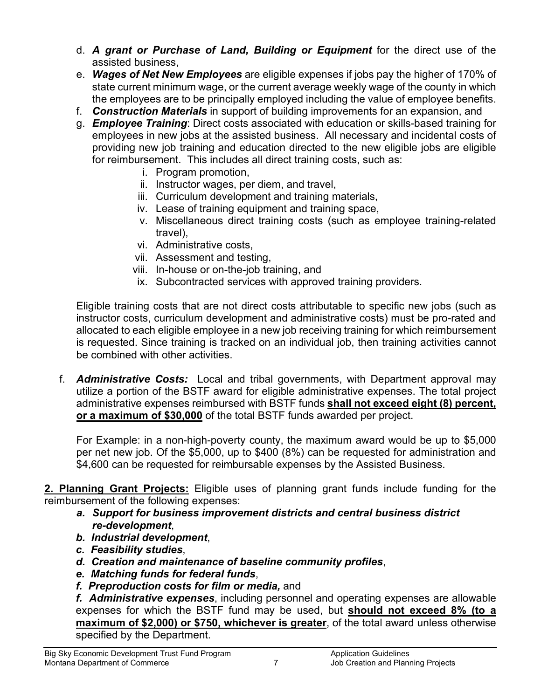- d. *A grant or Purchase of Land, Building or Equipment* for the direct use of the assisted business,
- e. *Wages of Net New Employees* are eligible expenses if jobs pay the higher of 170% of state current minimum wage, or the current average weekly wage of the county in which the employees are to be principally employed including the value of employee benefits.
- f. *Construction Materials* in support of building improvements for an expansion, and
- g. *Employee Training*: Direct costs associated with education or skills-based training for employees in new jobs at the assisted business. All necessary and incidental costs of providing new job training and education directed to the new eligible jobs are eligible for reimbursement. This includes all direct training costs, such as:
	- i. Program promotion,
	- ii. Instructor wages, per diem, and travel,
	- iii. Curriculum development and training materials,
	- iv. Lease of training equipment and training space,
	- v. Miscellaneous direct training costs (such as employee training-related travel),
	- vi. Administrative costs,
	- vii. Assessment and testing,
	- viii. In-house or on-the-job training, and
	- ix. Subcontracted services with approved training providers.

Eligible training costs that are not direct costs attributable to specific new jobs (such as instructor costs, curriculum development and administrative costs) must be pro-rated and allocated to each eligible employee in a new job receiving training for which reimbursement is requested. Since training is tracked on an individual job, then training activities cannot be combined with other activities.

 f. *Administrative Costs:* Local and tribal governments, with Department approval may utilize a portion of the BSTF award for eligible administrative expenses. The total project administrative expenses reimbursed with BSTF funds **shall not exceed eight (8) percent, or a maximum of \$30,000** of the total BSTF funds awarded per project.

For Example: in a non-high-poverty county, the maximum award would be up to \$5,000 per net new job. Of the \$5,000, up to \$400 (8%) can be requested for administration and \$4,600 can be requested for reimbursable expenses by the Assisted Business.

**2. Planning Grant Projects:** Eligible uses of planning grant funds include funding for the reimbursement of the following expenses:

- *a. Support for business improvement districts and central business district re-development*,
- *b. Industrial development*,
- *c. Feasibility studies*,
- *d. Creation and maintenance of baseline community profiles*,
- *e. Matching funds for federal funds*,
- *f. Preproduction costs for film or media,* and

*f. Administrative expenses*, including personnel and operating expenses are allowable expenses for which the BSTF fund may be used, but **should not exceed 8% (to a maximum of \$2,000) or \$750, whichever is greater**, of the total award unless otherwise specified by the Department.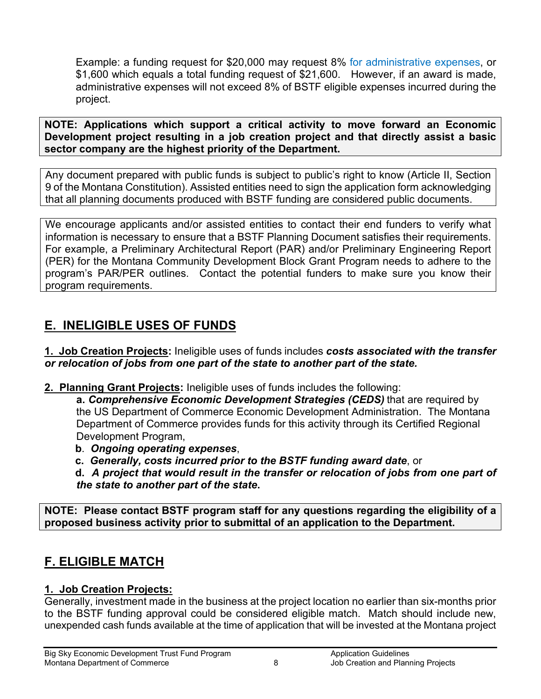Example: a funding request for \$20,000 may request 8% for administrative expenses, or \$1,600 which equals a total funding request of \$21,600. However, if an award is made, administrative expenses will not exceed 8% of BSTF eligible expenses incurred during the project.

**NOTE: Applications which support a critical activity to move forward an Economic Development project resulting in a job creation project and that directly assist a basic sector company are the highest priority of the Department.**

Any document prepared with public funds is subject to public's right to know (Article II, Section 9 of the Montana Constitution). Assisted entities need to sign the application form acknowledging that all planning documents produced with BSTF funding are considered public documents.

We encourage applicants and/or assisted entities to contact their end funders to verify what information is necessary to ensure that a BSTF Planning Document satisfies their requirements. For example, a Preliminary Architectural Report (PAR) and/or Preliminary Engineering Report (PER) for the Montana Community Development Block Grant Program needs to adhere to the program's PAR/PER outlines. Contact the potential funders to make sure you know their program requirements.

# **E. INELIGIBLE USES OF FUNDS**

**1. Job Creation Projects:** Ineligible uses of funds includes *costs associated with the transfer or relocation of jobs from one part of the state to another part of the state.*

**2. Planning Grant Projects:** Ineligible uses of funds includes the following:

**a.** *Comprehensive Economic Development Strategies (CEDS)* that are required by the US Department of Commerce Economic Development Administration. The Montana Department of Commerce provides funds for this activity through its Certified Regional Development Program,

- **b**. *Ongoing operating expenses*,
- **c.** *Generally, costs incurred prior to the BSTF funding award date*, or

 **d.** *A project that would result in the transfer or relocation of jobs from one part of the state to another part of the state***.**

**NOTE: Please contact BSTF program staff for any questions regarding the eligibility of a proposed business activity prior to submittal of an application to the Department.**

# <span id="page-7-0"></span>**F. ELIGIBLE MATCH**

## **1. Job Creation Projects:**

Generally, investment made in the business at the project location no earlier than six-months prior to the BSTF funding approval could be considered eligible match. Match should include new, unexpended cash funds available at the time of application that will be invested at the Montana project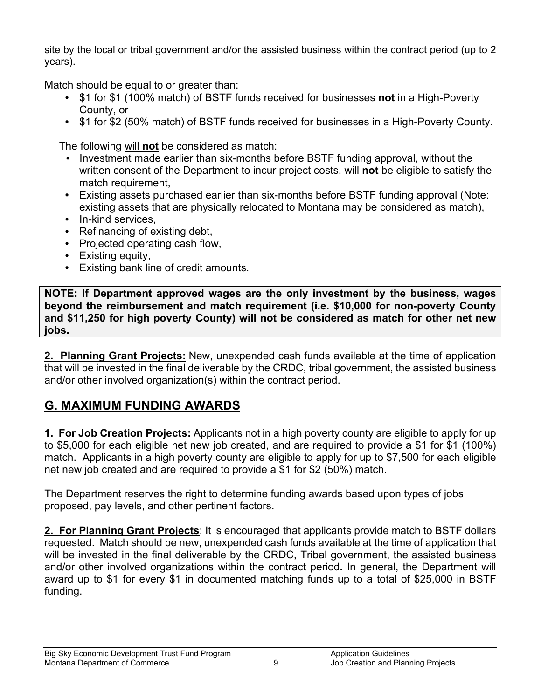site by the local or tribal government and/or the assisted business within the contract period (up to 2 years).

Match should be equal to or greater than:

- \$1 for \$1 (100% match) of BSTF funds received for businesses **not** in a High-Poverty County, or
- \$1 for \$2 (50% match) of BSTF funds received for businesses in a High-Poverty County.

The following will **not** be considered as match:

- Investment made earlier than six-months before BSTF funding approval, without the written consent of the Department to incur project costs, will **not** be eligible to satisfy the match requirement,
- Existing assets purchased earlier than six-months before BSTF funding approval (Note: existing assets that are physically relocated to Montana may be considered as match),
- In-kind services.
- Refinancing of existing debt,
- Projected operating cash flow,
- Existing equity,
- Existing bank line of credit amounts.

**NOTE: If Department approved wages are the only investment by the business, wages beyond the reimbursement and match requirement (i.e. \$10,000 for non-poverty County and \$11,250 for high poverty County) will not be considered as match for other net new jobs.**

**2. Planning Grant Projects:** New, unexpended cash funds available at the time of application that will be invested in the final deliverable by the CRDC, tribal government, the assisted business and/or other involved organization(s) within the contract period.

# **G. MAXIMUM FUNDING AWARDS**

**1. For Job Creation Projects:** Applicants not in a high poverty county are eligible to apply for up to \$5,000 for each eligible net new job created, and are required to provide a \$1 for \$1 (100%) match. Applicants in a high poverty county are eligible to apply for up to \$7,500 for each eligible net new job created and are required to provide a \$1 for \$2 (50%) match.

The Department reserves the right to determine funding awards based upon types of jobs proposed, pay levels, and other pertinent factors.

**2. For Planning Grant Projects**: It is encouraged that applicants provide match to BSTF dollars requested. Match should be new, unexpended cash funds available at the time of application that will be invested in the final deliverable by the CRDC, Tribal government, the assisted business and/or other involved organizations within the contract period**.** In general, the Department will award up to \$1 for every \$1 in documented matching funds up to a total of \$25,000 in BSTF funding.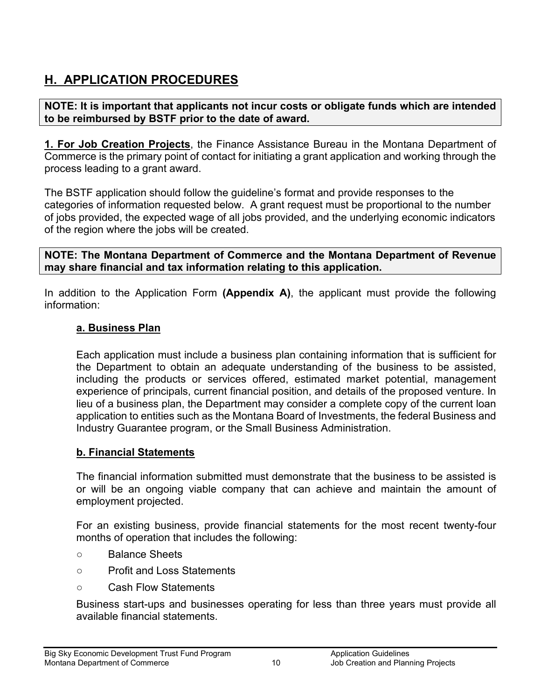# **H. APPLICATION PROCEDURES**

#### **NOTE: It is important that applicants not incur costs or obligate funds which are intended to be reimbursed by BSTF prior to the date of award.**

**1. For Job Creation Projects**, the Finance Assistance Bureau in the Montana Department of Commerce is the primary point of contact for initiating a grant application and working through the process leading to a grant award.

The BSTF application should follow the guideline's format and provide responses to the categories of information requested below. A grant request must be proportional to the number of jobs provided, the expected wage of all jobs provided, and the underlying economic indicators of the region where the jobs will be created.

**NOTE: The Montana Department of Commerce and the Montana Department of Revenue may share financial and tax information relating to this application.**

In addition to the Application Form **(Appendix A)**, the applicant must provide the following information:

#### **a. Business Plan**

Each application must include a business plan containing information that is sufficient for the Department to obtain an adequate understanding of the business to be assisted, including the products or services offered, estimated market potential, management experience of principals, current financial position, and details of the proposed venture. In lieu of a business plan, the Department may consider a complete copy of the current loan application to entities such as the Montana Board of Investments, the federal Business and Industry Guarantee program, or the Small Business Administration.

#### **b. Financial Statements**

The financial information submitted must demonstrate that the business to be assisted is or will be an ongoing viable company that can achieve and maintain the amount of employment projected.

For an existing business, provide financial statements for the most recent twenty-four months of operation that includes the following:

- Balance Sheets
- Profit and Loss Statements
- Cash Flow Statements

Business start-ups and businesses operating for less than three years must provide all available financial statements.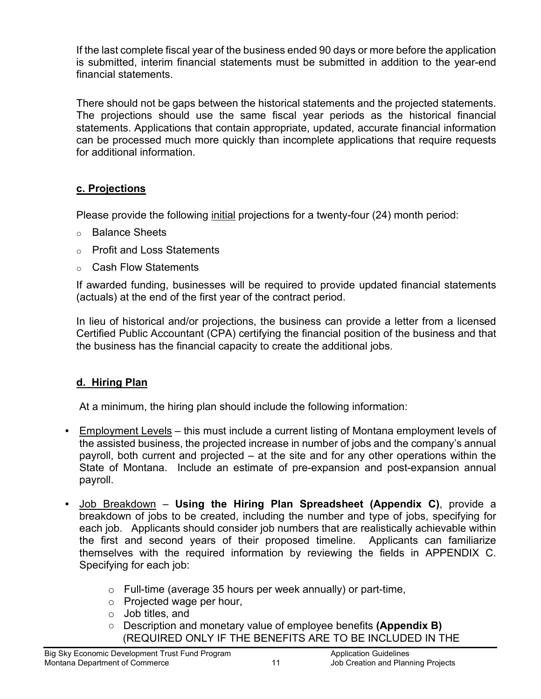If the last complete fiscal year of the business ended 90 days or more before the application is submitted, interim financial statements must be submitted in addition to the year-end financial statements.

There should not be gaps between the historical statements and the projected statements. The projections should use the same fiscal year periods as the historical financial statements. Applications that contain appropriate, updated, accurate financial information can be processed much more quickly than incomplete applications that require requests for additional information.

## **c. Projections**

Please provide the following initial projections for a twenty-four (24) month period:

- o Balance Sheets
- o Profit and Loss Statements
- o Cash Flow Statements

If awarded funding, businesses will be required to provide updated financial statements (actuals) at the end of the first year of the contract period.

In lieu of historical and/or projections, the business can provide a letter from a licensed Certified Public Accountant (CPA) certifying the financial position of the business and that the business has the financial capacity to create the additional jobs.

## **d. Hiring Plan**

At a minimum, the hiring plan should include the following information:

- Employment Levels this must include a current listing of Montana employment levels of the assisted business, the projected increase in number of jobs and the company's annual payroll, both current and projected – at the site and for any other operations within the State of Montana. Include an estimate of pre-expansion and post-expansion annual payroll.
- Job Breakdown **Using the Hiring Plan Spreadsheet (Appendix C)**, provide a breakdown of jobs to be created, including the number and type of jobs, specifying for each job. Applicants should consider job numbers that are realistically achievable within the first and second years of their proposed timeline. Applicants can familiarize themselves with the required information by reviewing the fields in APPENDIX C. Specifying for each job:
	- o Full-time (average 35 hours per week annually) or part-time,
	- o Projected wage per hour,
	- o Job titles, and
	- Description and monetary value of employee benefits **(Appendix B)** (REQUIRED ONLY IF THE BENEFITS ARE TO BE INCLUDED IN THE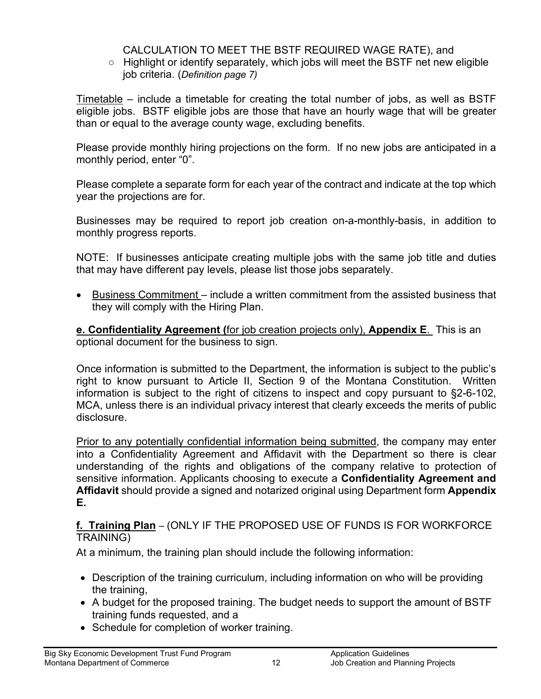#### CALCULATION TO MEET THE BSTF REQUIRED WAGE RATE), and

○ Highlight or identify separately, which jobs will meet the BSTF net new eligible job criteria. (*Definition page 7)*

Timetable – include a timetable for creating the total number of jobs, as well as BSTF eligible jobs. BSTF eligible jobs are those that have an hourly wage that will be greater than or equal to the average county wage, excluding benefits.

Please provide monthly hiring projections on the form. If no new jobs are anticipated in a monthly period, enter "0".

Please complete a separate form for each year of the contract and indicate at the top which year the projections are for.

Businesses may be required to report job creation on-a-monthly-basis, in addition to monthly progress reports.

NOTE: If businesses anticipate creating multiple jobs with the same job title and duties that may have different pay levels, please list those jobs separately.

• Business Commitment – include a written commitment from the assisted business that they will comply with the Hiring Plan.

**e. Confidentiality Agreement (**for job creation projects only), **Appendix E**. This is an optional document for the business to sign.

Once information is submitted to the Department, the information is subject to the public's right to know pursuant to Article II, Section 9 of the Montana Constitution. Written information is subject to the right of citizens to inspect and copy pursuant to §2-6-102, MCA, unless there is an individual privacy interest that clearly exceeds the merits of public disclosure.

Prior to any potentially confidential information being submitted, the company may enter into a Confidentiality Agreement and Affidavit with the Department so there is clear understanding of the rights and obligations of the company relative to protection of sensitive information. Applicants choosing to execute a **Confidentiality Agreement and Affidavit** should provide a signed and notarized original using Department form **Appendix E.**

**f. Training Plan** – (ONLY IF THE PROPOSED USE OF FUNDS IS FOR WORKFORCE TRAINING)

At a minimum, the training plan should include the following information:

- Description of the training curriculum, including information on who will be providing the training,
- A budget for the proposed training. The budget needs to support the amount of BSTF training funds requested, and a
- Schedule for completion of worker training.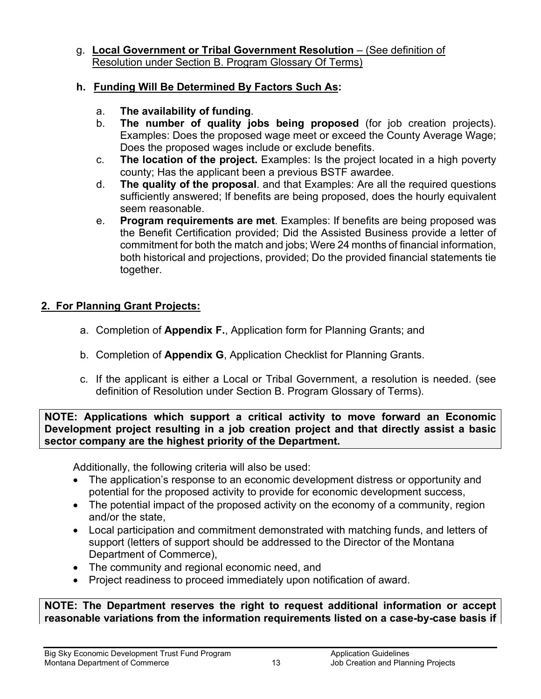#### g. **Local Government or Tribal Government Resolution** – (See definition of Resolution under Section B. Program Glossary Of Terms)

#### **h. Funding Will Be Determined By Factors Such As:**

- a. **The availability of funding**.
- b. **The number of quality jobs being proposed** (for job creation projects). Examples: Does the proposed wage meet or exceed the County Average Wage; Does the proposed wages include or exclude benefits.
- c. **The location of the project.** Examples: Is the project located in a high poverty county; Has the applicant been a previous BSTF awardee.
- d. **The quality of the proposal**. and that Examples: Are all the required questions sufficiently answered; If benefits are being proposed, does the hourly equivalent seem reasonable.
- e. **Program requirements are met**. Examples: If benefits are being proposed was the Benefit Certification provided; Did the Assisted Business provide a letter of commitment for both the match and jobs; Were 24 months of financial information, both historical and projections, provided; Do the provided financial statements tie together.

## **2. For Planning Grant Projects:**

- a. Completion of **Appendix F.**, Application form for Planning Grants; and
- b. Completion of **Appendix G**, Application Checklist for Planning Grants.
- c. If the applicant is either a Local or Tribal Government, a resolution is needed. (see definition of Resolution under Section B. Program Glossary of Terms).

**NOTE: Applications which support a critical activity to move forward an Economic Development project resulting in a job creation project and that directly assist a basic sector company are the highest priority of the Department.**

Additionally, the following criteria will also be used:

- The application's response to an economic development distress or opportunity and potential for the proposed activity to provide for economic development success,
- The potential impact of the proposed activity on the economy of a community, region and/or the state,
- Local participation and commitment demonstrated with matching funds, and letters of support (letters of support should be addressed to the Director of the Montana Department of Commerce),
- The community and regional economic need, and
- Project readiness to proceed immediately upon notification of award.

**NOTE: The Department reserves the right to request additional information or accept reasonable variations from the information requirements listed on a case-by-case basis if**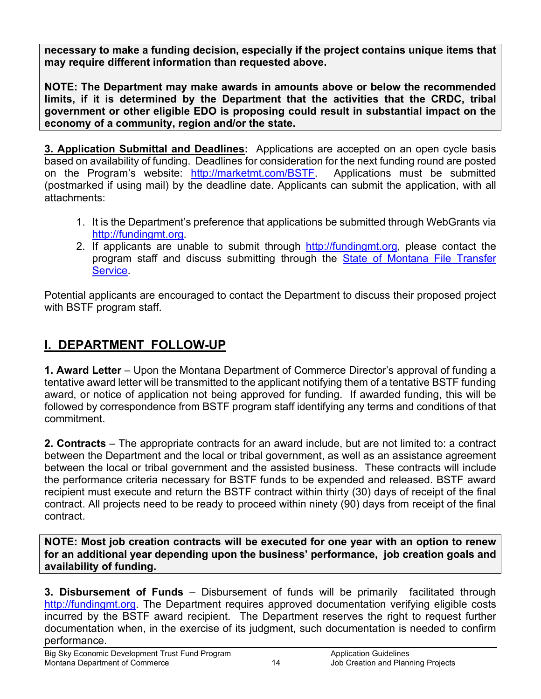**necessary to make a funding decision, especially if the project contains unique items that may require different information than requested above.**

**NOTE: The Department may make awards in amounts above or below the recommended limits, if it is determined by the Department that the activities that the CRDC, tribal government or other eligible EDO is proposing could result in substantial impact on the economy of a community, region and/or the state.**

**3. Application Submittal and Deadlines:** Applications are accepted on an open cycle basis based on availability of funding. Deadlines for consideration for the next funding round are posted on the Program's website: http://marketmt.com/BSTF. Applications must be submitted (postmarked if using mail) by the deadline date. Applicants can submit the application, with all attachments:

- 1. It is the Department's preference that applications be submitted through WebGrants via [http://fundingmt.org.](http://fundingmt.org/)
- 2. If applicants are unable to submit through [http://fundingmt.org,](http://fundingmt.org/) please contact the program staff and discuss submitting through the [State of Montana File Transfer](https://app.mt.gov/epass/Authn/selectIDP.html)  [Service.](https://app.mt.gov/epass/Authn/selectIDP.html)

Potential applicants are encouraged to contact the Department to discuss their proposed project with BSTF program staff.

# **I. DEPARTMENT FOLLOW-UP**

**1. Award Letter** – Upon the Montana Department of Commerce Director's approval of funding a tentative award letter will be transmitted to the applicant notifying them of a tentative BSTF funding award, or notice of application not being approved for funding. If awarded funding, this will be followed by correspondence from BSTF program staff identifying any terms and conditions of that commitment.

**2. Contracts** – The appropriate contracts for an award include, but are not limited to: a contract between the Department and the local or tribal government, as well as an assistance agreement between the local or tribal government and the assisted business. These contracts will include the performance criteria necessary for BSTF funds to be expended and released. BSTF award recipient must execute and return the BSTF contract within thirty (30) days of receipt of the final contract. All projects need to be ready to proceed within ninety (90) days from receipt of the final contract.

**NOTE: Most job creation contracts will be executed for one year with an option to renew for an additional year depending upon the business' performance, job creation goals and availability of funding.**

**3. Disbursement of Funds** – Disbursement of funds will be primarily facilitated through [http://fundingmt.org.](http://fundingmt.org/) The Department requires approved documentation verifying eligible costs incurred by the BSTF award recipient. The Department reserves the right to request further documentation when, in the exercise of its judgment, such documentation is needed to confirm performance.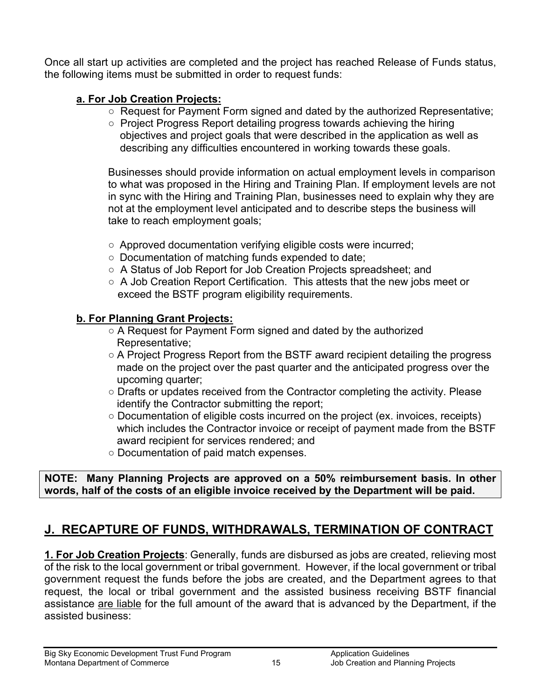Once all start up activities are completed and the project has reached Release of Funds status, the following items must be submitted in order to request funds:

## **a. For Job Creation Projects:**

- Request for Payment Form signed and dated by the authorized Representative;
- Project Progress Report detailing progress towards achieving the hiring objectives and project goals that were described in the application as well as describing any difficulties encountered in working towards these goals.

Businesses should provide information on actual employment levels in comparison to what was proposed in the Hiring and Training Plan. If employment levels are not in sync with the Hiring and Training Plan, businesses need to explain why they are not at the employment level anticipated and to describe steps the business will take to reach employment goals;

- Approved documentation verifying eligible costs were incurred;
- Documentation of matching funds expended to date;
- A Status of Job Report for Job Creation Projects spreadsheet: and
- A Job Creation Report Certification. This attests that the new jobs meet or exceed the BSTF program eligibility requirements.

## **b. For Planning Grant Projects:**

- A Request for Payment Form signed and dated by the authorized Representative;
- A Project Progress Report from the BSTF award recipient detailing the progress made on the project over the past quarter and the anticipated progress over the upcoming quarter;
- Drafts or updates received from the Contractor completing the activity. Please identify the Contractor submitting the report;
- Documentation of eligible costs incurred on the project (ex. invoices, receipts) which includes the Contractor invoice or receipt of payment made from the BSTF award recipient for services rendered; and
- Documentation of paid match expenses.

**NOTE: Many Planning Projects are approved on a 50% reimbursement basis. In other words, half of the costs of an eligible invoice received by the Department will be paid.** 

# **J. RECAPTURE OF FUNDS, WITHDRAWALS, TERMINATION OF CONTRACT**

**1. For Job Creation Projects**: Generally, funds are disbursed as jobs are created, relieving most of the risk to the local government or tribal government. However, if the local government or tribal government request the funds before the jobs are created, and the Department agrees to that request, the local or tribal government and the assisted business receiving BSTF financial assistance are liable for the full amount of the award that is advanced by the Department, if the assisted business: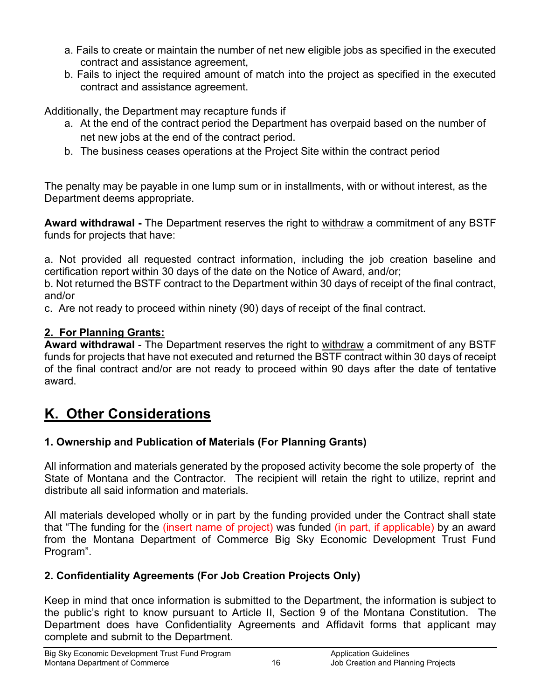- a. Fails to create or maintain the number of net new eligible jobs as specified in the executed contract and assistance agreement,
- b. Fails to inject the required amount of match into the project as specified in the executed contract and assistance agreement.

Additionally, the Department may recapture funds if

- a. At the end of the contract period the Department has overpaid based on the number of net new jobs at the end of the contract period.
- b. The business ceases operations at the Project Site within the contract period

The penalty may be payable in one lump sum or in installments, with or without interest, as the Department deems appropriate.

**Award withdrawal -** The Department reserves the right to withdraw a commitment of any BSTF funds for projects that have:

a. Not provided all requested contract information, including the job creation baseline and certification report within 30 days of the date on the Notice of Award, and/or;

b. Not returned the BSTF contract to the Department within 30 days of receipt of the final contract, and/or

c. Are not ready to proceed within ninety (90) days of receipt of the final contract.

## **2. For Planning Grants:**

**Award withdrawal** - The Department reserves the right to withdraw a commitment of any BSTF funds for projects that have not executed and returned the BSTF contract within 30 days of receipt of the final contract and/or are not ready to proceed within 90 days after the date of tentative award.

# **K. Other Considerations**

## **1. Ownership and Publication of Materials (For Planning Grants)**

All information and materials generated by the proposed activity become the sole property of the State of Montana and the Contractor. The recipient will retain the right to utilize, reprint and distribute all said information and materials.

All materials developed wholly or in part by the funding provided under the Contract shall state that "The funding for the (insert name of project) was funded (in part, if applicable) by an award from the Montana Department of Commerce Big Sky Economic Development Trust Fund Program".

## **2. Confidentiality Agreements (For Job Creation Projects Only)**

Keep in mind that once information is submitted to the Department, the information is subject to the public's right to know pursuant to Article II, Section 9 of the Montana Constitution. The Department does have Confidentiality Agreements and Affidavit forms that applicant may complete and submit to the Department.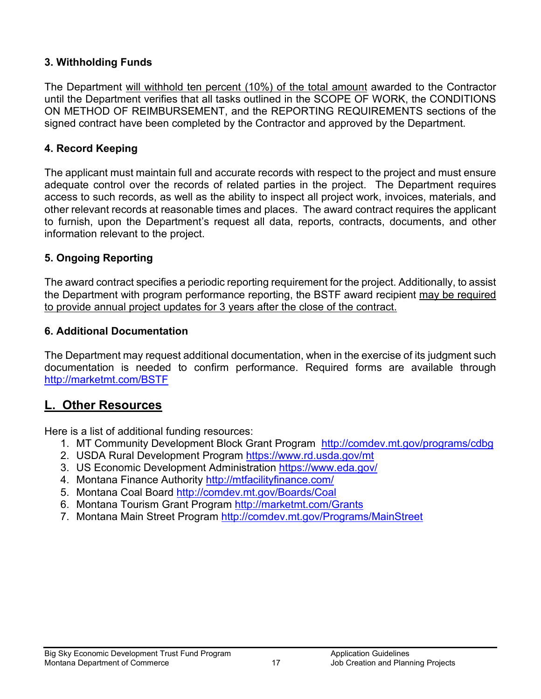#### **3. Withholding Funds**

The Department will withhold ten percent (10%) of the total amount awarded to the Contractor until the Department verifies that all tasks outlined in the SCOPE OF WORK, the CONDITIONS ON METHOD OF REIMBURSEMENT, and the REPORTING REQUIREMENTS sections of the signed contract have been completed by the Contractor and approved by the Department.

#### **4. Record Keeping**

The applicant must maintain full and accurate records with respect to the project and must ensure adequate control over the records of related parties in the project. The Department requires access to such records, as well as the ability to inspect all project work, invoices, materials, and other relevant records at reasonable times and places. The award contract requires the applicant to furnish, upon the Department's request all data, reports, contracts, documents, and other information relevant to the project.

## **5. Ongoing Reporting**

The award contract specifies a periodic reporting requirement for the project. Additionally, to assist the Department with program performance reporting, the BSTF award recipient may be required to provide annual project updates for 3 years after the close of the contract.

#### **6. Additional Documentation**

The Department may request additional documentation, when in the exercise of its judgment such documentation is needed to confirm performance. Required forms are available through <http://marketmt.com/BSTF>

## **L. Other Resources**

Here is a list of additional funding resources:

- 1. MT Community Development Block Grant Program <http://comdev.mt.gov/programs/cdbg>
- 2. USDA Rural Development Program<https://www.rd.usda.gov/mt>
- 3. US Economic Development Administration<https://www.eda.gov/>
- 4. Montana Finance Authority<http://mtfacilityfinance.com/>
- 5. Montana Coal Board<http://comdev.mt.gov/Boards/Coal>
- 6. Montana Tourism Grant Program<http://marketmt.com/Grants>
- 7. Montana Main Street Program<http://comdev.mt.gov/Programs/MainStreet>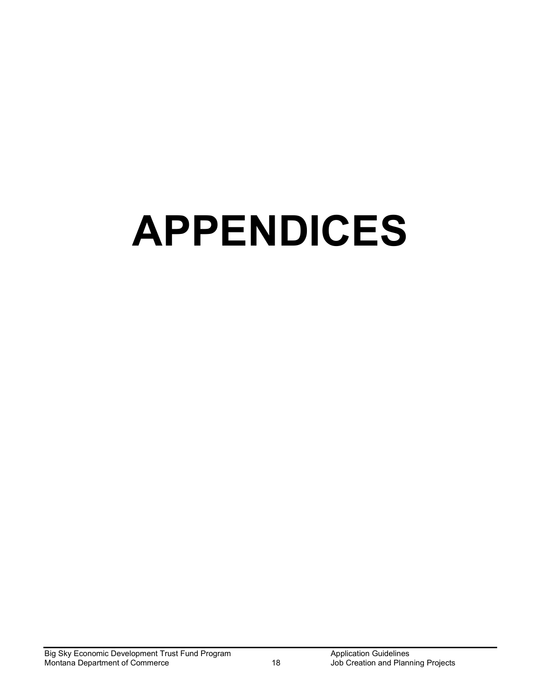# **APPENDICES**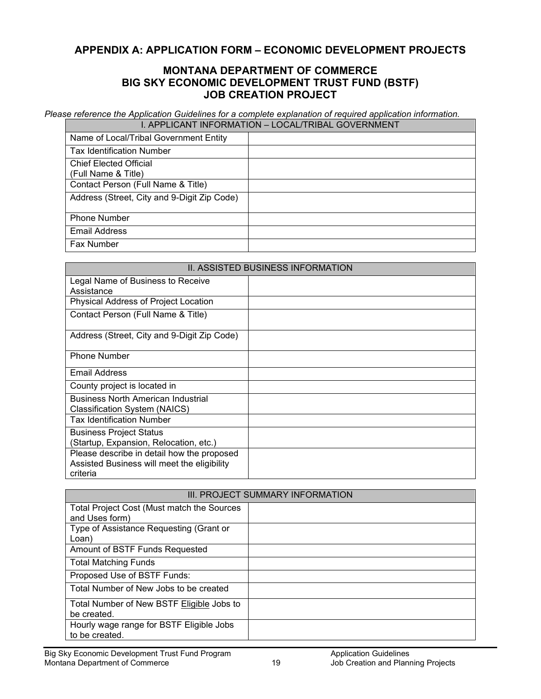#### <span id="page-18-0"></span>**APPENDIX A: APPLICATION FORM – ECONOMIC DEVELOPMENT PROJECTS**

#### **MONTANA DEPARTMENT OF COMMERCE BIG SKY ECONOMIC DEVELOPMENT TRUST FUND (BSTF) JOB CREATION PROJECT**

*Please reference the Application Guidelines for a complete explanation of required application information.*  I. APPLICANT INFORMATION – LOCAL/TRIBAL GOVERNMENT

| Name of Local/Tribal Government Entity      |  |
|---------------------------------------------|--|
| <b>Tax Identification Number</b>            |  |
| <b>Chief Elected Official</b>               |  |
| (Full Name & Title)                         |  |
| Contact Person (Full Name & Title)          |  |
| Address (Street, City and 9-Digit Zip Code) |  |
|                                             |  |
| <b>Phone Number</b>                         |  |
| <b>Email Address</b>                        |  |
| Fax Number                                  |  |

| II. ASSISTED BUSINESS INFORMATION                                                                     |  |  |  |  |  |
|-------------------------------------------------------------------------------------------------------|--|--|--|--|--|
| Legal Name of Business to Receive<br>Assistance                                                       |  |  |  |  |  |
| Physical Address of Project Location                                                                  |  |  |  |  |  |
| Contact Person (Full Name & Title)                                                                    |  |  |  |  |  |
| Address (Street, City and 9-Digit Zip Code)                                                           |  |  |  |  |  |
| <b>Phone Number</b>                                                                                   |  |  |  |  |  |
| Email Address                                                                                         |  |  |  |  |  |
| County project is located in                                                                          |  |  |  |  |  |
| <b>Business North American Industrial</b><br>Classification System (NAICS)                            |  |  |  |  |  |
| <b>Tax Identification Number</b>                                                                      |  |  |  |  |  |
| <b>Business Project Status</b><br>Startup, Expansion, Relocation, etc.)                               |  |  |  |  |  |
| Please describe in detail how the proposed<br>Assisted Business will meet the eligibility<br>criteria |  |  |  |  |  |

| III. PROJECT SUMMARY INFORMATION                             |  |  |  |  |
|--------------------------------------------------------------|--|--|--|--|
| Total Project Cost (Must match the Sources<br>and Uses form) |  |  |  |  |
| Type of Assistance Requesting (Grant or                      |  |  |  |  |
| Loan)                                                        |  |  |  |  |
| Amount of BSTF Funds Requested                               |  |  |  |  |
| <b>Total Matching Funds</b>                                  |  |  |  |  |
| Proposed Use of BSTF Funds:                                  |  |  |  |  |
| Total Number of New Jobs to be created                       |  |  |  |  |
| Total Number of New BSTF Eligible Jobs to<br>be created.     |  |  |  |  |
| Hourly wage range for BSTF Eligible Jobs<br>to be created.   |  |  |  |  |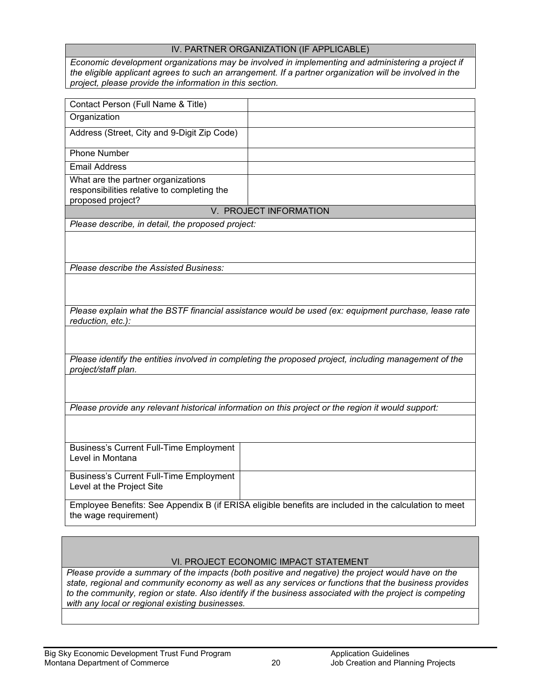#### IV. PARTNER ORGANIZATION (IF APPLICABLE)

*Economic development organizations may be involved in implementing and administering a project if the eligible applicant agrees to such an arrangement. If a partner organization will be involved in the project, please provide the information in this section.* 

| Contact Person (Full Name & Title)                                                                     |                                                                                                       |
|--------------------------------------------------------------------------------------------------------|-------------------------------------------------------------------------------------------------------|
|                                                                                                        |                                                                                                       |
| Organization                                                                                           |                                                                                                       |
| Address (Street, City and 9-Digit Zip Code)                                                            |                                                                                                       |
| <b>Phone Number</b>                                                                                    |                                                                                                       |
| <b>Email Address</b>                                                                                   |                                                                                                       |
| What are the partner organizations<br>responsibilities relative to completing the<br>proposed project? |                                                                                                       |
|                                                                                                        | V. PROJECT INFORMATION                                                                                |
| Please describe, in detail, the proposed project:                                                      |                                                                                                       |
|                                                                                                        |                                                                                                       |
| Please describe the Assisted Business:                                                                 |                                                                                                       |
|                                                                                                        |                                                                                                       |
| reduction, etc.):                                                                                      | Please explain what the BSTF financial assistance would be used (ex: equipment purchase, lease rate   |
|                                                                                                        |                                                                                                       |
| project/staff plan.                                                                                    | Please identify the entities involved in completing the proposed project, including management of the |
|                                                                                                        |                                                                                                       |
|                                                                                                        | Please provide any relevant historical information on this project or the region it would support:    |
|                                                                                                        |                                                                                                       |
| <b>Business's Current Full-Time Employment</b><br>Level in Montana                                     |                                                                                                       |
| <b>Business's Current Full-Time Employment</b><br>Level at the Project Site                            |                                                                                                       |
| the wage requirement)                                                                                  | Employee Benefits: See Appendix B (if ERISA eligible benefits are included in the calculation to meet |

#### VI. PROJECT ECONOMIC IMPACT STATEMENT

*Please provide a summary of the impacts (both positive and negative) the project would have on the state, regional and community economy as well as any services or functions that the business provides to the community, region or state. Also identify if the business associated with the project is competing with any local or regional existing businesses.*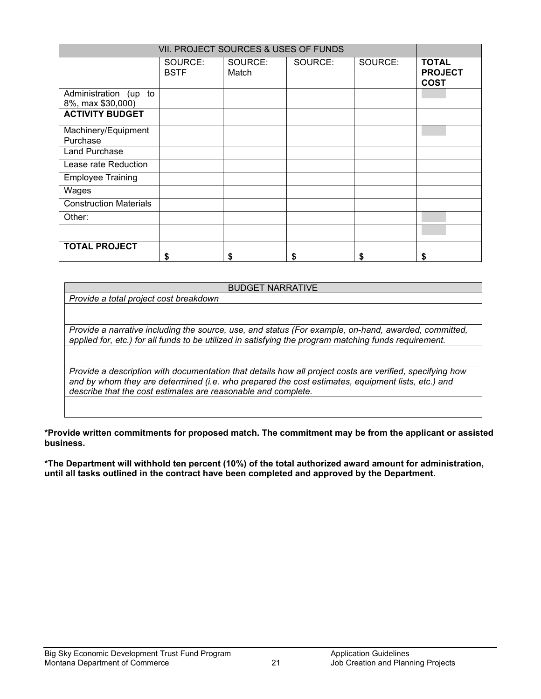| VII. PROJECT SOURCES & USES OF FUNDS       |                        |                  |         |         |                                               |  |  |
|--------------------------------------------|------------------------|------------------|---------|---------|-----------------------------------------------|--|--|
|                                            | SOURCE:<br><b>BSTF</b> | SOURCE:<br>Match | SOURCE: | SOURCE: | <b>TOTAL</b><br><b>PROJECT</b><br><b>COST</b> |  |  |
| Administration (up to<br>8%, max \$30,000) |                        |                  |         |         |                                               |  |  |
| <b>ACTIVITY BUDGET</b>                     |                        |                  |         |         |                                               |  |  |
| Machinery/Equipment<br>Purchase            |                        |                  |         |         |                                               |  |  |
| Land Purchase                              |                        |                  |         |         |                                               |  |  |
| Lease rate Reduction                       |                        |                  |         |         |                                               |  |  |
| <b>Employee Training</b>                   |                        |                  |         |         |                                               |  |  |
| Wages                                      |                        |                  |         |         |                                               |  |  |
| <b>Construction Materials</b>              |                        |                  |         |         |                                               |  |  |
| Other:                                     |                        |                  |         |         |                                               |  |  |
|                                            |                        |                  |         |         |                                               |  |  |
| <b>TOTAL PROJECT</b>                       | S                      | S                |         |         | \$                                            |  |  |

#### BUDGET NARRATIVE

*Provide a total project cost breakdown*

*Provide a narrative including the source, use, and status (For example, on-hand, awarded, committed, applied for, etc.) for all funds to be utilized in satisfying the program matching funds requirement.*

*Provide a description with documentation that details how all project costs are verified, specifying how and by whom they are determined (i.e. who prepared the cost estimates, equipment lists, etc.) and describe that the cost estimates are reasonable and complete.*

**\*Provide written commitments for proposed match. The commitment may be from the applicant or assisted business.**

**\*The Department will withhold ten percent (10%) of the total authorized award amount for administration, until all tasks outlined in the contract have been completed and approved by the Department.**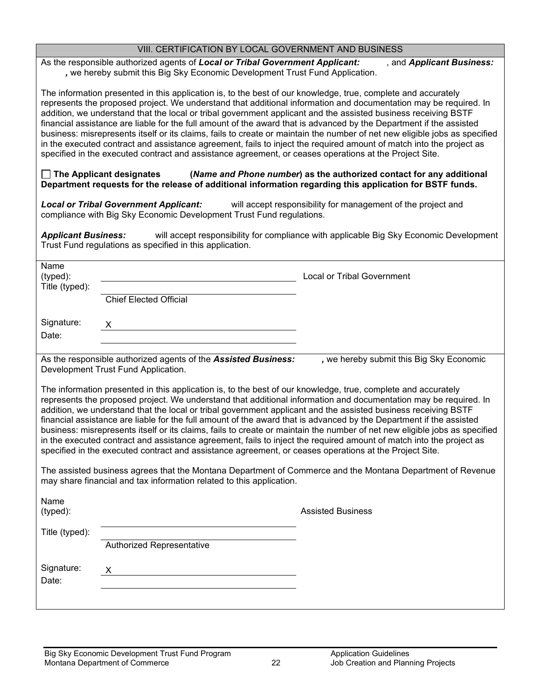| VIII. CERTIFICATION BY LOCAL GOVERNMENT AND BUSINESS |  |
|------------------------------------------------------|--|
|------------------------------------------------------|--|

As the responsible authorized agents of *Local or Tribal Government Applicant:* , and *Applicant Business: ,* we hereby submit this Big Sky Economic Development Trust Fund Application.

The information presented in this application is, to the best of our knowledge, true, complete and accurately represents the proposed project. We understand that additional information and documentation may be required. In addition, we understand that the local or tribal government applicant and the assisted business receiving BSTF financial assistance are liable for the full amount of the award that is advanced by the Department if the assisted business: misrepresents itself or its claims, fails to create or maintain the number of net new eligible jobs as specified in the executed contract and assistance agreement, fails to inject the required amount of match into the project as specified in the executed contract and assistance agreement, or ceases operations at the Project Site.

#### **The Applicant designates (***Name and Phone number***) as the authorized contact for any additional Department requests for the release of additional information regarding this application for BSTF funds.**

*Local or Tribal Government Applicant:* will accept responsibility for management of the project and compliance with Big Sky Economic Development Trust Fund regulations.

*Applicant Business:* will accept responsibility for compliance with applicable Big Sky Economic Development Trust Fund regulations as specified in this application.

|                                                                                                                                                                                                                                                                                                                                                                                                                                                                                                                                                                                                                                                                                                             | <b>Local or Tribal Government</b>                                                                                                                                |
|-------------------------------------------------------------------------------------------------------------------------------------------------------------------------------------------------------------------------------------------------------------------------------------------------------------------------------------------------------------------------------------------------------------------------------------------------------------------------------------------------------------------------------------------------------------------------------------------------------------------------------------------------------------------------------------------------------------|------------------------------------------------------------------------------------------------------------------------------------------------------------------|
| <b>Chief Elected Official</b>                                                                                                                                                                                                                                                                                                                                                                                                                                                                                                                                                                                                                                                                               |                                                                                                                                                                  |
|                                                                                                                                                                                                                                                                                                                                                                                                                                                                                                                                                                                                                                                                                                             |                                                                                                                                                                  |
| As the responsible authorized agents of the Assisted Business:<br>Development Trust Fund Application.                                                                                                                                                                                                                                                                                                                                                                                                                                                                                                                                                                                                       | , we hereby submit this Big Sky Economic                                                                                                                         |
| The information presented in this application is, to the best of our knowledge, true, complete and accurately<br>represents the proposed project. We understand that additional information and documentation may be required. In<br>addition, we understand that the local or tribal government applicant and the assisted business receiving BSTF<br>financial assistance are liable for the full amount of the award that is advanced by the Department if the assisted<br>in the executed contract and assistance agreement, fails to inject the required amount of match into the project as<br>specified in the executed contract and assistance agreement, or ceases operations at the Project Site. | business: misrepresents itself or its claims, fails to create or maintain the number of net new eligible jobs as specified                                       |
| may share financial and tax information related to this application.                                                                                                                                                                                                                                                                                                                                                                                                                                                                                                                                                                                                                                        |                                                                                                                                                                  |
|                                                                                                                                                                                                                                                                                                                                                                                                                                                                                                                                                                                                                                                                                                             | <b>Assisted Business</b>                                                                                                                                         |
| Authorized Representative                                                                                                                                                                                                                                                                                                                                                                                                                                                                                                                                                                                                                                                                                   |                                                                                                                                                                  |
|                                                                                                                                                                                                                                                                                                                                                                                                                                                                                                                                                                                                                                                                                                             |                                                                                                                                                                  |
|                                                                                                                                                                                                                                                                                                                                                                                                                                                                                                                                                                                                                                                                                                             | <u> 1989 - Johann Barn, amerikansk politiker (</u><br>The assisted business agrees that the Montana Department of Commerce and the Montana Department of Revenue |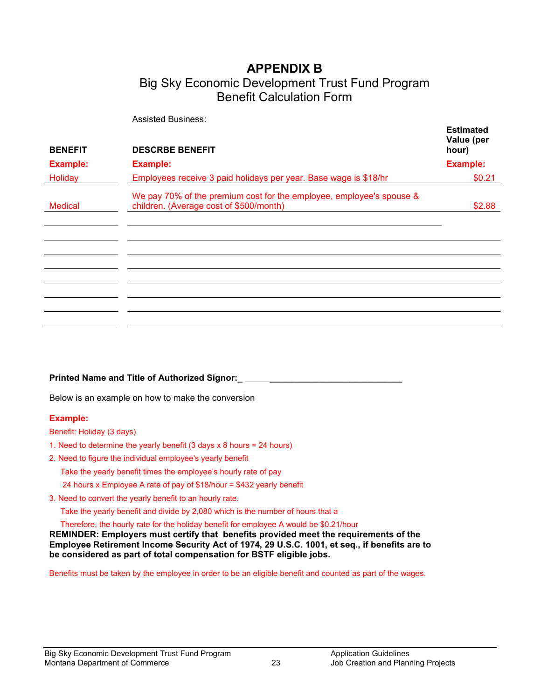# **APPENDIX B**

## Big Sky Economic Development Trust Fund Program Benefit Calculation Form

Assisted Business:

| <b>BENEFIT</b>  | <b>DESCRBE BENEFIT</b>                                                                                          | Luunuvu<br>Value (per<br>hour) |
|-----------------|-----------------------------------------------------------------------------------------------------------------|--------------------------------|
| <b>Example:</b> | <b>Example:</b>                                                                                                 | <b>Example:</b>                |
| Holiday         | Employees receive 3 paid holidays per year. Base wage is \$18/hr                                                | \$0.21                         |
| <b>Medical</b>  | We pay 70% of the premium cost for the employee, employee's spouse &<br>children. (Average cost of \$500/month) | \$2.88                         |
|                 |                                                                                                                 |                                |
|                 |                                                                                                                 |                                |
|                 |                                                                                                                 |                                |
|                 |                                                                                                                 |                                |
|                 |                                                                                                                 |                                |
|                 |                                                                                                                 |                                |
|                 |                                                                                                                 |                                |

#### **Printed Name and Title of Authorized Signor:\_ \_\_\_\_\_\_\_\_\_\_\_\_\_\_\_\_\_\_\_\_\_\_\_\_\_\_\_**

Below is an example on how to make the conversion

#### **Example:**

Benefit: Holiday (3 days)

- 1. Need to determine the yearly benefit (3 days x 8 hours = 24 hours)
- 2. Need to figure the individual employee's yearly benefit

Take the yearly benefit times the employee's hourly rate of pay

24 hours x Employee A rate of pay of \$18/hour = \$432 yearly benefit

3. Need to convert the yearly benefit to an hourly rate.

Take the yearly benefit and divide by 2,080 which is the number of hours that a

Therefore, the hourly rate for the holiday benefit for employee A would be \$0.21/hour

**REMINDER: Employers must certify that benefits provided meet the requirements of the Employee Retirement Income Security Act of 1974, 29 U.S.C. 1001, et seq., if benefits are to be considered as part of total compensation for BSTF eligible jobs.**

Benefits must be taken by the employee in order to be an eligible benefit and counted as part of the wages.

**Estimated**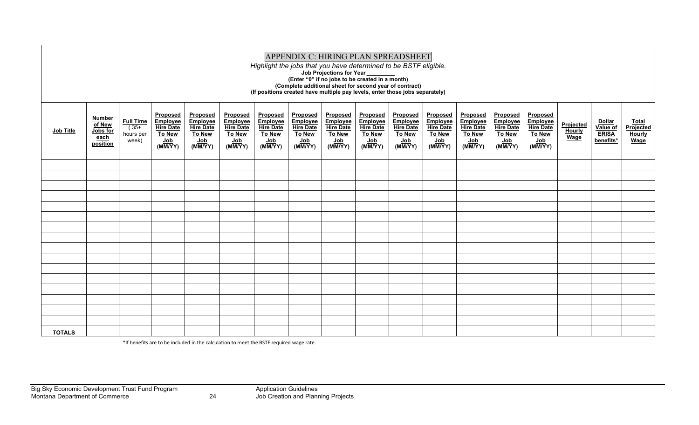| APPENDIX C: HIRING PLAN SPREADSHEET<br>Highlight the jobs that you have determined to be BSTF eligible.<br>Job Projections for Year<br>(Enter "0" if no jobs to be created in a month)<br>(Complete additional sheet for second year of contract)<br>(If positions created have multiple pay levels, enter those jobs separately) |                                                         |                                                  |                                                                                    |                                                                             |                                                                      |                                                                             |                                                                             |                                                                                           |                                                                             |                                                                      |                                                                                        |                                                                             |                                                                      |                                                                      |                                           |                                                                    |                                                    |
|-----------------------------------------------------------------------------------------------------------------------------------------------------------------------------------------------------------------------------------------------------------------------------------------------------------------------------------|---------------------------------------------------------|--------------------------------------------------|------------------------------------------------------------------------------------|-----------------------------------------------------------------------------|----------------------------------------------------------------------|-----------------------------------------------------------------------------|-----------------------------------------------------------------------------|-------------------------------------------------------------------------------------------|-----------------------------------------------------------------------------|----------------------------------------------------------------------|----------------------------------------------------------------------------------------|-----------------------------------------------------------------------------|----------------------------------------------------------------------|----------------------------------------------------------------------|-------------------------------------------|--------------------------------------------------------------------|----------------------------------------------------|
| <b>Job Title</b>                                                                                                                                                                                                                                                                                                                  | <b>Number</b><br>of New<br>Jobs for<br>each<br>position | <b>Full Time</b><br>$(35+$<br>hours per<br>week) | <b>Proposed</b><br>Employee<br><b>Hire Date</b><br><b>To New</b><br>Job<br>(MM/YY) | Proposed<br>Employee<br><b>Hire Date</b><br><b>To New</b><br>Job<br>(MM/YY) | Proposed<br>Employee<br><b>Hire Date</b><br>To New<br>Job<br>(MM/YY) | Proposed<br>Employee<br><b>Hire Date</b><br><b>To New</b><br>Job<br>(MM/YY) | Proposed<br>Employee<br><b>Hire Date</b><br><b>To New</b><br>Job<br>(MM/YY) | <b>Proposed</b><br><b>Employee</b><br><b>Hire Date</b><br><b>To New</b><br>Job<br>(MM/YY) | Proposed<br>Employee<br><b>Hire Date</b><br><b>To New</b><br>Job<br>(MM/YY) | Proposed<br>Employee<br><b>Hire Date</b><br>To New<br>Job<br>(MM/YY) | Proposed<br>Employee<br><b>Hire Date</b><br>To New<br>$\sqrt{\frac{1}{10}}$<br>(MM/YY) | <b>Proposed</b><br>Employee<br><b>Hire Date</b><br>To New<br>Job<br>(MM/YY) | Proposed<br>Employee<br><b>Hire Date</b><br>To New<br>Job<br>(MM/YY) | Proposed<br>Employee<br><b>Hire Date</b><br>To New<br>Job<br>(MM/YY) | Projected<br><b>Hourly</b><br><b>Wage</b> | <b>Dollar</b><br>Value of<br><b>ERISA</b><br>benefits <sup>*</sup> | <b>Total</b><br>Projected<br><b>Hourly</b><br>Wage |
|                                                                                                                                                                                                                                                                                                                                   |                                                         |                                                  |                                                                                    |                                                                             |                                                                      |                                                                             |                                                                             |                                                                                           |                                                                             |                                                                      |                                                                                        |                                                                             |                                                                      |                                                                      |                                           |                                                                    |                                                    |
|                                                                                                                                                                                                                                                                                                                                   |                                                         |                                                  |                                                                                    |                                                                             |                                                                      |                                                                             |                                                                             |                                                                                           |                                                                             |                                                                      |                                                                                        |                                                                             |                                                                      |                                                                      |                                           |                                                                    |                                                    |
|                                                                                                                                                                                                                                                                                                                                   |                                                         |                                                  |                                                                                    |                                                                             |                                                                      |                                                                             |                                                                             |                                                                                           |                                                                             |                                                                      |                                                                                        |                                                                             |                                                                      |                                                                      |                                           |                                                                    |                                                    |
|                                                                                                                                                                                                                                                                                                                                   |                                                         |                                                  |                                                                                    |                                                                             |                                                                      |                                                                             |                                                                             |                                                                                           |                                                                             |                                                                      |                                                                                        |                                                                             |                                                                      |                                                                      |                                           |                                                                    |                                                    |
|                                                                                                                                                                                                                                                                                                                                   |                                                         |                                                  |                                                                                    |                                                                             |                                                                      |                                                                             |                                                                             |                                                                                           |                                                                             |                                                                      |                                                                                        |                                                                             |                                                                      |                                                                      |                                           |                                                                    |                                                    |
|                                                                                                                                                                                                                                                                                                                                   |                                                         |                                                  |                                                                                    |                                                                             |                                                                      |                                                                             |                                                                             |                                                                                           |                                                                             |                                                                      |                                                                                        |                                                                             |                                                                      |                                                                      |                                           |                                                                    |                                                    |
|                                                                                                                                                                                                                                                                                                                                   |                                                         |                                                  |                                                                                    |                                                                             |                                                                      |                                                                             |                                                                             |                                                                                           |                                                                             |                                                                      |                                                                                        |                                                                             |                                                                      |                                                                      |                                           |                                                                    |                                                    |
|                                                                                                                                                                                                                                                                                                                                   |                                                         |                                                  |                                                                                    |                                                                             |                                                                      |                                                                             |                                                                             |                                                                                           |                                                                             |                                                                      |                                                                                        |                                                                             |                                                                      |                                                                      |                                           |                                                                    |                                                    |
|                                                                                                                                                                                                                                                                                                                                   |                                                         |                                                  |                                                                                    |                                                                             |                                                                      |                                                                             |                                                                             |                                                                                           |                                                                             |                                                                      |                                                                                        |                                                                             |                                                                      |                                                                      |                                           |                                                                    |                                                    |
|                                                                                                                                                                                                                                                                                                                                   |                                                         |                                                  |                                                                                    |                                                                             |                                                                      |                                                                             |                                                                             |                                                                                           |                                                                             |                                                                      |                                                                                        |                                                                             |                                                                      |                                                                      |                                           |                                                                    |                                                    |
|                                                                                                                                                                                                                                                                                                                                   |                                                         |                                                  |                                                                                    |                                                                             |                                                                      |                                                                             |                                                                             |                                                                                           |                                                                             |                                                                      |                                                                                        |                                                                             |                                                                      |                                                                      |                                           |                                                                    |                                                    |
|                                                                                                                                                                                                                                                                                                                                   |                                                         |                                                  |                                                                                    |                                                                             |                                                                      |                                                                             |                                                                             |                                                                                           |                                                                             |                                                                      |                                                                                        |                                                                             |                                                                      |                                                                      |                                           |                                                                    |                                                    |
|                                                                                                                                                                                                                                                                                                                                   |                                                         |                                                  |                                                                                    |                                                                             |                                                                      |                                                                             |                                                                             |                                                                                           |                                                                             |                                                                      |                                                                                        |                                                                             |                                                                      |                                                                      |                                           |                                                                    |                                                    |
|                                                                                                                                                                                                                                                                                                                                   |                                                         |                                                  |                                                                                    |                                                                             |                                                                      |                                                                             |                                                                             |                                                                                           |                                                                             |                                                                      |                                                                                        |                                                                             |                                                                      |                                                                      |                                           |                                                                    |                                                    |
|                                                                                                                                                                                                                                                                                                                                   |                                                         |                                                  |                                                                                    |                                                                             |                                                                      |                                                                             |                                                                             |                                                                                           |                                                                             |                                                                      |                                                                                        |                                                                             |                                                                      |                                                                      |                                           |                                                                    |                                                    |
| <b>TOTALS</b>                                                                                                                                                                                                                                                                                                                     |                                                         |                                                  |                                                                                    |                                                                             |                                                                      |                                                                             |                                                                             |                                                                                           |                                                                             |                                                                      |                                                                                        |                                                                             |                                                                      |                                                                      |                                           |                                                                    |                                                    |

\*If benefits are to be included in the calculation to meet the BSTF required wage rate.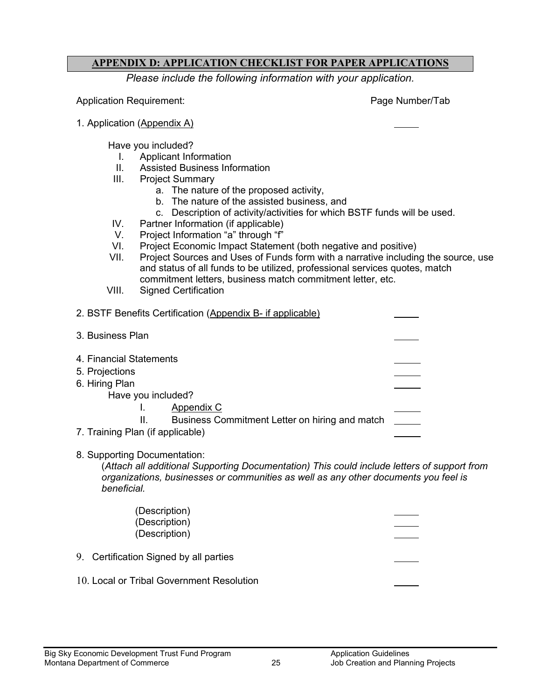#### <span id="page-24-0"></span>**APPENDIX D: APPLICATION CHECKLIST FOR PAPER APPLICATIONS**

*Please include the following information with your application.*

Application Requirement: Page Number/Tab

1. Application (Appendix A)

Have you included?

- I. Applicant Information
- II. Assisted Business Information
- III. Project Summary
	- a. The nature of the proposed activity,
	- b. The nature of the assisted business, and
	- c. Description of activity/activities for which BSTF funds will be used.
- IV. Partner Information (if applicable)
- V. Project Information "a" through "f"
- VI. Project Economic Impact Statement (both negative and positive)<br>VII. Project Sources and Uses of Funds form with a narrative includin
- Project Sources and Uses of Funds form with a narrative including the source, use and status of all funds to be utilized, professional services quotes, match commitment letters, business match commitment letter, etc.
- VIII. Signed Certification
- 2. BSTF Benefits Certification (Appendix B- if applicable)
- 3. Business Plan
- 4. Financial Statements
- 5. Projections
- 6. Hiring Plan
	- Have you included?
		- I. Appendix C
		- II. Business Commitment Letter on hiring and match
- 7. Training Plan (if applicable)
- 8. Supporting Documentation:

(*Attach all additional Supporting Documentation) This could include letters of support from organizations, businesses or communities as well as any other documents you feel is beneficial.*

(Description) (Description) (Description)

- 9. Certification Signed by all parties
- 10. Local or Tribal Government Resolution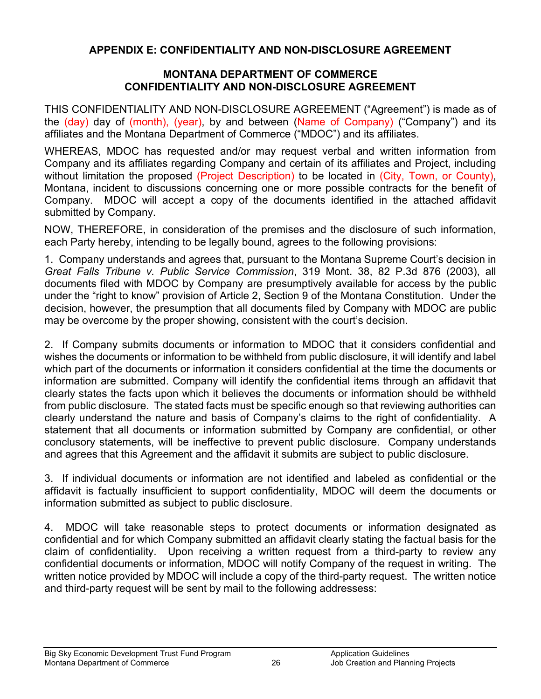#### <span id="page-25-0"></span>**APPENDIX E: CONFIDENTIALITY AND NON-DISCLOSURE AGREEMENT**

#### **MONTANA DEPARTMENT OF COMMERCE CONFIDENTIALITY AND NON-DISCLOSURE AGREEMENT**

THIS CONFIDENTIALITY AND NON-DISCLOSURE AGREEMENT ("Agreement") is made as of the (day) day of (month), (year), by and between (Name of Company) ("Company") and its affiliates and the Montana Department of Commerce ("MDOC") and its affiliates.

WHEREAS, MDOC has requested and/or may request verbal and written information from Company and its affiliates regarding Company and certain of its affiliates and Project, including without limitation the proposed (Project Description) to be located in (City, Town, or County), Montana, incident to discussions concerning one or more possible contracts for the benefit of Company. MDOC will accept a copy of the documents identified in the attached affidavit submitted by Company.

NOW, THEREFORE, in consideration of the premises and the disclosure of such information, each Party hereby, intending to be legally bound, agrees to the following provisions:

1. Company understands and agrees that, pursuant to the Montana Supreme Court's decision in *Great Falls Tribune v. Public Service Commission*, 319 Mont. 38, 82 P.3d 876 (2003), all documents filed with MDOC by Company are presumptively available for access by the public under the "right to know" provision of Article 2, Section 9 of the Montana Constitution. Under the decision, however, the presumption that all documents filed by Company with MDOC are public may be overcome by the proper showing, consistent with the court's decision.

2. If Company submits documents or information to MDOC that it considers confidential and wishes the documents or information to be withheld from public disclosure, it will identify and label which part of the documents or information it considers confidential at the time the documents or information are submitted. Company will identify the confidential items through an affidavit that clearly states the facts upon which it believes the documents or information should be withheld from public disclosure. The stated facts must be specific enough so that reviewing authorities can clearly understand the nature and basis of Company's claims to the right of confidentiality. A statement that all documents or information submitted by Company are confidential, or other conclusory statements, will be ineffective to prevent public disclosure. Company understands and agrees that this Agreement and the affidavit it submits are subject to public disclosure.

3. If individual documents or information are not identified and labeled as confidential or the affidavit is factually insufficient to support confidentiality, MDOC will deem the documents or information submitted as subject to public disclosure.

4. MDOC will take reasonable steps to protect documents or information designated as confidential and for which Company submitted an affidavit clearly stating the factual basis for the claim of confidentiality. Upon receiving a written request from a third-party to review any confidential documents or information, MDOC will notify Company of the request in writing. The written notice provided by MDOC will include a copy of the third-party request. The written notice and third-party request will be sent by mail to the following addressess: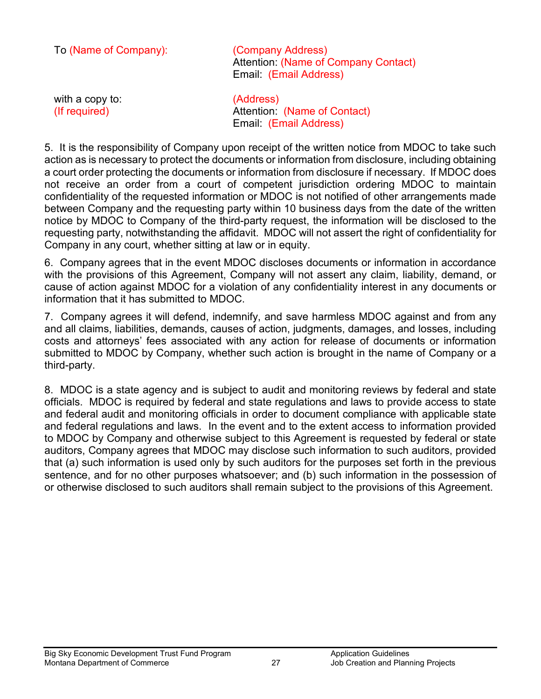| To (Name of Company):            | (Company Address)<br><b>Attention: (Name of Company Contact)</b><br>Email: (Email Address) |
|----------------------------------|--------------------------------------------------------------------------------------------|
| with a copy to:<br>(If required) | (Address)<br>Attention: (Name of Contact)<br>Email: (Email Address)                        |

5. It is the responsibility of Company upon receipt of the written notice from MDOC to take such action as is necessary to protect the documents or information from disclosure, including obtaining a court order protecting the documents or information from disclosure if necessary. If MDOC does not receive an order from a court of competent jurisdiction ordering MDOC to maintain confidentiality of the requested information or MDOC is not notified of other arrangements made between Company and the requesting party within 10 business days from the date of the written notice by MDOC to Company of the third-party request, the information will be disclosed to the requesting party, notwithstanding the affidavit. MDOC will not assert the right of confidentiality for Company in any court, whether sitting at law or in equity.

6. Company agrees that in the event MDOC discloses documents or information in accordance with the provisions of this Agreement, Company will not assert any claim, liability, demand, or cause of action against MDOC for a violation of any confidentiality interest in any documents or information that it has submitted to MDOC.

7. Company agrees it will defend, indemnify, and save harmless MDOC against and from any and all claims, liabilities, demands, causes of action, judgments, damages, and losses, including costs and attorneys' fees associated with any action for release of documents or information submitted to MDOC by Company, whether such action is brought in the name of Company or a third-party.

8. MDOC is a state agency and is subject to audit and monitoring reviews by federal and state officials. MDOC is required by federal and state regulations and laws to provide access to state and federal audit and monitoring officials in order to document compliance with applicable state and federal regulations and laws. In the event and to the extent access to information provided to MDOC by Company and otherwise subject to this Agreement is requested by federal or state auditors, Company agrees that MDOC may disclose such information to such auditors, provided that (a) such information is used only by such auditors for the purposes set forth in the previous sentence, and for no other purposes whatsoever; and (b) such information in the possession of or otherwise disclosed to such auditors shall remain subject to the provisions of this Agreement.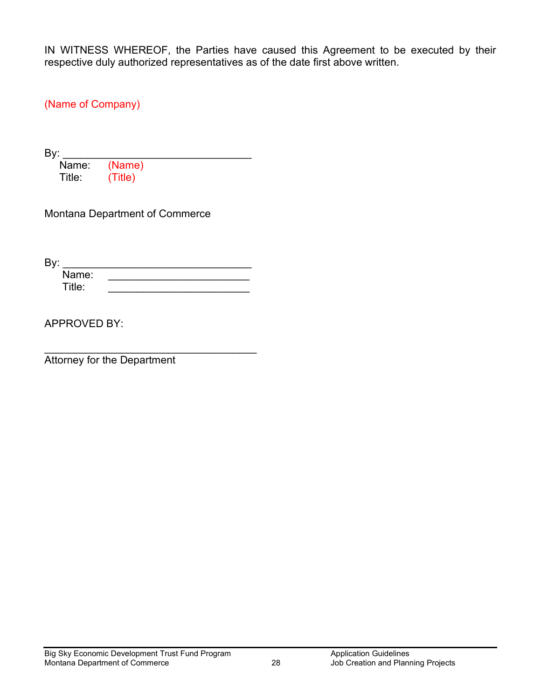IN WITNESS WHEREOF, the Parties have caused this Agreement to be executed by their respective duly authorized representatives as of the date first above written.

(Name of Company)

By:  $\frac{y}{y}$ Name: (Name)<br>Title: (Title) Title: (Title)

Montana Department of Commerce

By: \_\_\_\_\_\_\_\_\_\_\_\_\_\_\_\_\_\_\_\_\_\_\_\_\_\_\_\_\_\_\_\_ Name:  $\blacksquare$ Title: \_\_\_\_\_\_\_\_\_\_\_\_\_\_\_\_\_\_\_\_\_\_\_\_

APPROVED BY:

\_\_\_\_\_\_\_\_\_\_\_\_\_\_\_\_\_\_\_\_\_\_\_\_\_\_\_\_\_\_\_\_\_\_\_\_ Attorney for the Department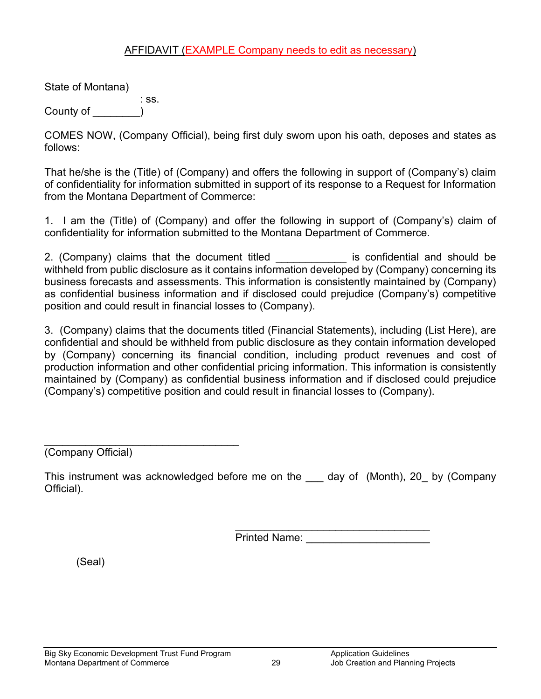#### AFFIDAVIT (EXAMPLE Company needs to edit as necessary)

State of Montana)

: ss. County of

COMES NOW, (Company Official), being first duly sworn upon his oath, deposes and states as follows:

That he/she is the (Title) of (Company) and offers the following in support of (Company's) claim of confidentiality for information submitted in support of its response to a Request for Information from the Montana Department of Commerce:

1. I am the (Title) of (Company) and offer the following in support of (Company's) claim of confidentiality for information submitted to the Montana Department of Commerce.

2. (Company) claims that the document titled is confidential and should be withheld from public disclosure as it contains information developed by (Company) concerning its business forecasts and assessments. This information is consistently maintained by (Company) as confidential business information and if disclosed could prejudice (Company's) competitive position and could result in financial losses to (Company).

3. (Company) claims that the documents titled (Financial Statements), including (List Here), are confidential and should be withheld from public disclosure as they contain information developed by (Company) concerning its financial condition, including product revenues and cost of production information and other confidential pricing information. This information is consistently maintained by (Company) as confidential business information and if disclosed could prejudice (Company's) competitive position and could result in financial losses to (Company).

\_\_\_\_\_\_\_\_\_\_\_\_\_\_\_\_\_\_\_\_\_\_\_\_\_\_\_\_\_\_\_\_\_ (Company Official)

This instrument was acknowledged before me on the \_\_\_ day of (Month), 20\_ by (Company Official).

 $\overline{\phantom{a}}$  , and the contract of the contract of the contract of the contract of the contract of the contract of the contract of the contract of the contract of the contract of the contract of the contract of the contrac Printed Name:

(Seal)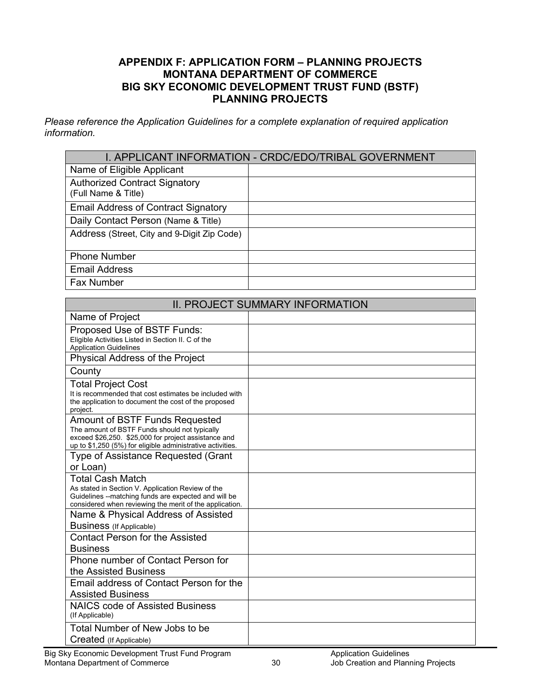#### **APPENDIX F: APPLICATION FORM – PLANNING PROJECTS MONTANA DEPARTMENT OF COMMERCE BIG SKY ECONOMIC DEVELOPMENT TRUST FUND (BSTF) PLANNING PROJECTS**

*Please reference the Application Guidelines for a complete explanation of required application information.* 

|                                                             | I. APPLICANT INFORMATION - CRDC/EDO/TRIBAL GOVERNMENT |
|-------------------------------------------------------------|-------------------------------------------------------|
| Name of Eligible Applicant                                  |                                                       |
| <b>Authorized Contract Signatory</b><br>(Full Name & Title) |                                                       |
| <b>Email Address of Contract Signatory</b>                  |                                                       |
| Daily Contact Person (Name & Title)                         |                                                       |
| Address (Street, City and 9-Digit Zip Code)                 |                                                       |
| <b>Phone Number</b>                                         |                                                       |
| <b>Email Address</b>                                        |                                                       |
| Fax Number                                                  |                                                       |

|                                                                                                                                                                                                              | <b>II. PROJECT SUMMARY INFORMATION</b> |
|--------------------------------------------------------------------------------------------------------------------------------------------------------------------------------------------------------------|----------------------------------------|
| Name of Project                                                                                                                                                                                              |                                        |
| Proposed Use of BSTF Funds:<br>Eligible Activities Listed in Section II. C of the<br><b>Application Guidelines</b>                                                                                           |                                        |
| Physical Address of the Project                                                                                                                                                                              |                                        |
| County                                                                                                                                                                                                       |                                        |
| <b>Total Project Cost</b><br>It is recommended that cost estimates be included with<br>the application to document the cost of the proposed<br>project.                                                      |                                        |
| <b>Amount of BSTF Funds Requested</b><br>The amount of BSTF Funds should not typically<br>exceed \$26,250. \$25,000 for project assistance and<br>up to \$1,250 (5%) for eligible administrative activities. |                                        |
| Type of Assistance Requested (Grant<br>or Loan)                                                                                                                                                              |                                        |
| <b>Total Cash Match</b><br>As stated in Section V. Application Review of the<br>Guidelines --matching funds are expected and will be<br>considered when reviewing the merit of the application.              |                                        |
| Name & Physical Address of Assisted<br><b>Business</b> (If Applicable)                                                                                                                                       |                                        |
| <b>Contact Person for the Assisted</b><br><b>Business</b>                                                                                                                                                    |                                        |
| Phone number of Contact Person for<br>the Assisted Business                                                                                                                                                  |                                        |
| Email address of Contact Person for the<br><b>Assisted Business</b>                                                                                                                                          |                                        |
| <b>NAICS code of Assisted Business</b><br>(If Applicable)                                                                                                                                                    |                                        |
| Total Number of New Jobs to be<br>Created (If Applicable)                                                                                                                                                    |                                        |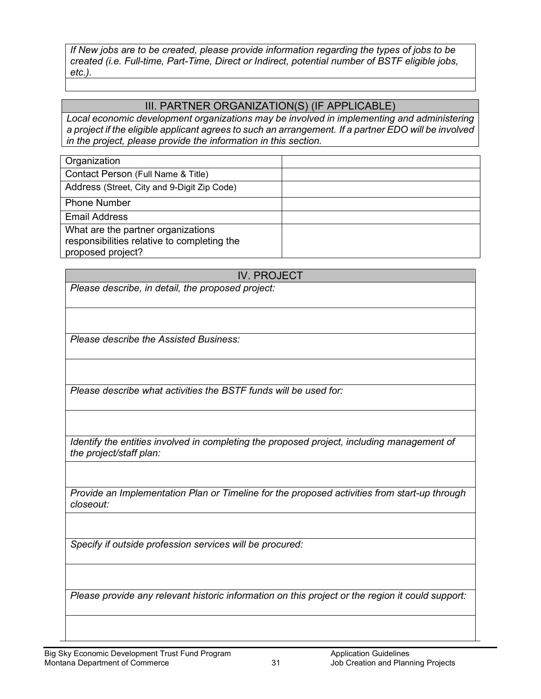*If New jobs are to be created, please provide information regarding the types of jobs to be created (i.e. Full-time, Part-Time, Direct or Indirect, potential number of BSTF eligible jobs, etc.).*

#### III. PARTNER ORGANIZATION(S) (IF APPLICABLE)

*Local economic development organizations may be involved in implementing and administering a project if the eligible applicant agrees to such an arrangement. If a partner EDO will be involved in the project, please provide the information in this section.* 

| Organization                                |  |
|---------------------------------------------|--|
| Contact Person (Full Name & Title)          |  |
| Address (Street, City and 9-Digit Zip Code) |  |
| <b>Phone Number</b>                         |  |
| <b>Email Address</b>                        |  |
| What are the partner organizations          |  |
| responsibilities relative to completing the |  |
| proposed project?                           |  |

#### IV. PROJECT

*Please describe, in detail, the proposed project:* 

*Please describe the Assisted Business:*

*Please describe what activities the BSTF funds will be used for:*

*Identify the entities involved in completing the proposed project, including management of the project/staff plan:*

*Provide an Implementation Plan or Timeline for the proposed activities from start-up through closeout:*

*Specify if outside profession services will be procured:*

*Please provide any relevant historic information on this project or the region it could support:*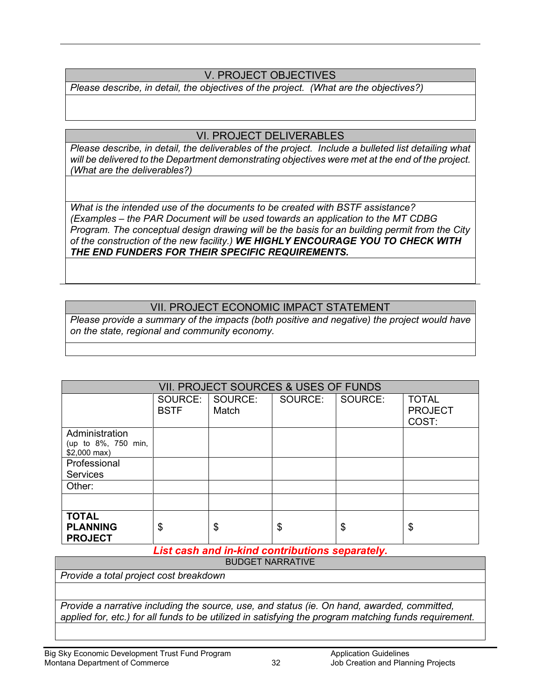## V. PROJECT OBJECTIVES

*Please describe, in detail, the objectives of the project. (What are the objectives?)*

#### VI. PROJECT DELIVERABLES

*Please describe, in detail, the deliverables of the project. Include a bulleted list detailing what will be delivered to the Department demonstrating objectives were met at the end of the project. (What are the deliverables?)*

*What is the intended use of the documents to be created with BSTF assistance? (Examples – the PAR Document will be used towards an application to the MT CDBG Program. The conceptual design drawing will be the basis for an building permit from the City of the construction of the new facility.) WE HIGHLY ENCOURAGE YOU TO CHECK WITH THE END FUNDERS FOR THEIR SPECIFIC REQUIREMENTS.*

#### VII. PROJECT ECONOMIC IMPACT STATEMENT

*Please provide a summary of the impacts (both positive and negative) the project would have on the state, regional and community economy.*

| VII. PROJECT SOURCES & USES OF FUNDS |                  |         |         |                                                             |
|--------------------------------------|------------------|---------|---------|-------------------------------------------------------------|
| SOURCE:<br><b>BSTF</b>               | SOURCE:<br>Match | SOURCE: | SOURCE: | <b>TOTAL</b><br><b>PROJECT</b><br>COST:                     |
|                                      |                  |         |         |                                                             |
|                                      |                  |         |         |                                                             |
|                                      |                  |         |         |                                                             |
|                                      |                  |         |         |                                                             |
| \$                                   | \$               | \$      | \$      | \$                                                          |
|                                      |                  |         |         | I dan kacamatan ing Indonesia sa mga katawang kacamatan ing |

*List cash and in-kind contributions separately.*

BUDGET NARRATIVE

*Provide a total project cost breakdown*

*Provide a narrative including the source, use, and status (ie. On hand, awarded, committed, applied for, etc.) for all funds to be utilized in satisfying the program matching funds requirement.*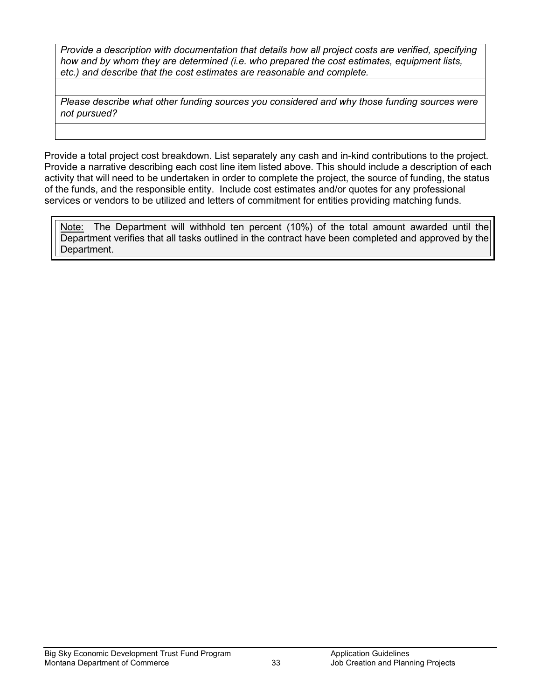*Provide a description with documentation that details how all project costs are verified, specifying how and by whom they are determined (i.e. who prepared the cost estimates, equipment lists, etc.) and describe that the cost estimates are reasonable and complete.*

*Please describe what other funding sources you considered and why those funding sources were not pursued?*

Provide a total project cost breakdown. List separately any cash and in-kind contributions to the project. Provide a narrative describing each cost line item listed above. This should include a description of each activity that will need to be undertaken in order to complete the project, the source of funding, the status of the funds, and the responsible entity. Include cost estimates and/or quotes for any professional services or vendors to be utilized and letters of commitment for entities providing matching funds.

Note: The Department will withhold ten percent (10%) of the total amount awarded until the Department verifies that all tasks outlined in the contract have been completed and approved by the Department.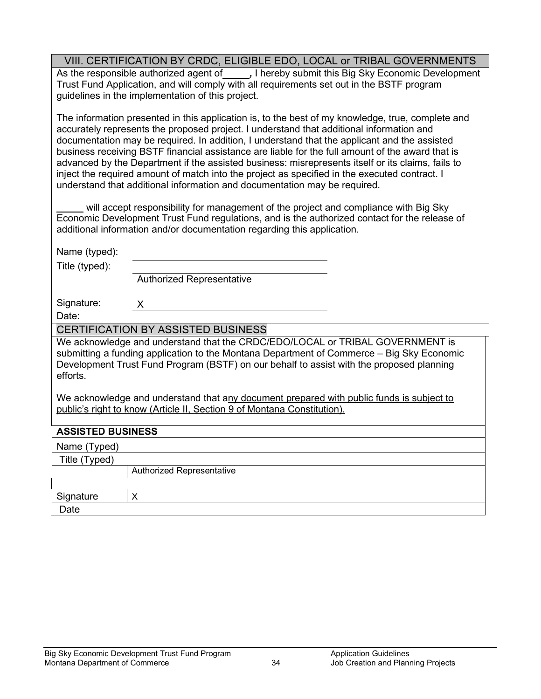## VIII. CERTIFICATION BY CRDC, ELIGIBLE EDO, LOCAL or TRIBAL GOVERNMENTS

As the responsible authorized agent of **, I hereby submit this Big Sky Economic Development** Trust Fund Application, and will comply with all requirements set out in the BSTF program guidelines in the implementation of this project.

The information presented in this application is, to the best of my knowledge, true, complete and accurately represents the proposed project. I understand that additional information and documentation may be required. In addition, I understand that the applicant and the assisted business receiving BSTF financial assistance are liable for the full amount of the award that is advanced by the Department if the assisted business: misrepresents itself or its claims, fails to inject the required amount of match into the project as specified in the executed contract. I understand that additional information and documentation may be required.

will accept responsibility for management of the project and compliance with Big Sky Economic Development Trust Fund regulations, and is the authorized contact for the release of additional information and/or documentation regarding this application.

| Title (typed):<br><b>Authorized Representative</b>                                                                                                                                                                                                                                                                                                                                                                                                        |
|-----------------------------------------------------------------------------------------------------------------------------------------------------------------------------------------------------------------------------------------------------------------------------------------------------------------------------------------------------------------------------------------------------------------------------------------------------------|
| Signature:<br>X<br>Date:                                                                                                                                                                                                                                                                                                                                                                                                                                  |
|                                                                                                                                                                                                                                                                                                                                                                                                                                                           |
| <b>CERTIFICATION BY ASSISTED BUSINESS</b>                                                                                                                                                                                                                                                                                                                                                                                                                 |
| We acknowledge and understand that the CRDC/EDO/LOCAL or TRIBAL GOVERNMENT is<br>submitting a funding application to the Montana Department of Commerce – Big Sky Economic<br>Development Trust Fund Program (BSTF) on our behalf to assist with the proposed planning<br>efforts.<br>We acknowledge and understand that any document prepared with public funds is subject to<br>public's right to know (Article II, Section 9 of Montana Constitution). |
| <b>ASSISTED BUSINESS</b>                                                                                                                                                                                                                                                                                                                                                                                                                                  |
| Name (Typed)                                                                                                                                                                                                                                                                                                                                                                                                                                              |
| Title (Typed)                                                                                                                                                                                                                                                                                                                                                                                                                                             |
| <b>Authorized Representative</b><br>Signature<br>X                                                                                                                                                                                                                                                                                                                                                                                                        |
| Date                                                                                                                                                                                                                                                                                                                                                                                                                                                      |